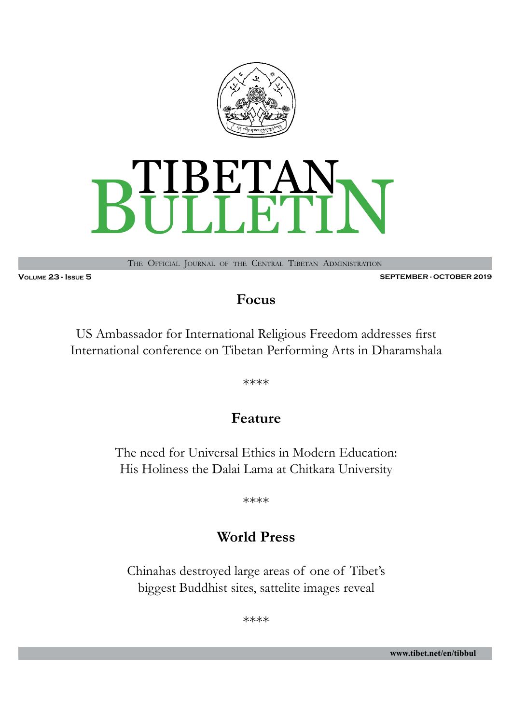



The Official Journal of the Central Tibetan Administration

**Volume 23 - Issue 5 SEPTEMBER - OCTOBER 2019**

### **Focus**

US Ambassador for International Religious Freedom addresses first International conference on Tibetan Performing Arts in Dharamshala

\*\*\*\*

### **Feature**

The need for Universal Ethics in Modern Education: His Holiness the Dalai Lama at Chitkara University

\*\*\*\*

### **World Press**

Chinahas destroyed large areas of one of Tibet's biggest Buddhist sites, sattelite images reveal

\*\*\*\*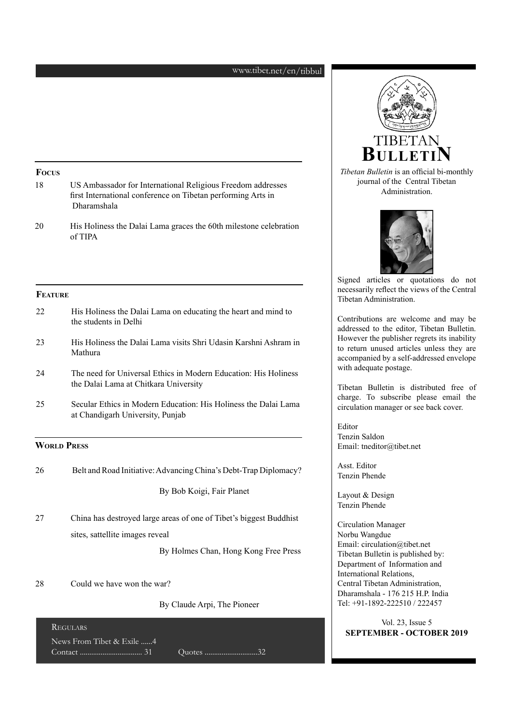#### www.tibet.net/en/tibbul

#### **Focus**

- 18 US Ambassador for International Religious Freedom addresses first International conference on Tibetan performing Arts in Dharamshala
- 20 His Holiness the Dalai Lama graces the 60th milestone celebration of TIPA

#### **Feature**

- 22 His Holiness the Dalai Lama on educating the heart and mind to the students in Delhi
- 23 His Holiness the Dalai Lama visits Shri Udasin Karshni Ashram in Mathura
- 24 The need for Universal Ethics in Modern Education: His Holiness the Dalai Lama at Chitkara University
- 25 Secular Ethics in Modern Education: His Holiness the Dalai Lama at Chandigarh University, Punjab

#### **WORLD PRESS**

| 26 | Belt and Road Initiative: Advancing China's Debt-Trap Diplomacy? |  |  |
|----|------------------------------------------------------------------|--|--|
|----|------------------------------------------------------------------|--|--|

By Bob Koigi, Fair Planet

27 China has destroyed large areas of one of Tibet's biggest Buddhist sites, sattellite images reveal

By Holmes Chan, Hong Kong Free Press

28 Could we have won the war?

By Claude Arpi, The Pioneer

| <b>REGULARS</b>           |           |  |
|---------------------------|-----------|--|
| News From Tibet & Exile 4 | Quotes 32 |  |



*Tibetan Bulletin* is an official bi-monthly journal of the Central Tibetan Administration.



Signed articles or quotations do not necessarily reflect the views of the Central Tibetan Administration.

Contributions are welcome and may be addressed to the editor, Tibetan Bulletin. However the publisher regrets its inability to return unused articles unless they are accompanied by a self-addressed envelope with adequate postage.

Tibetan Bulletin is distributed free of charge. To subscribe please email the circulation manager or see back cover.

Editor Tenzin Saldon Email: tneditor@tibet.net

Asst. Editor Tenzin Phende

Layout & Design Tenzin Phende

Circulation Manager Norbu Wangdue Email: circulation@tibet.net Tibetan Bulletin is published by: Department of Information and International Relations, Central Tibetan Administration, Dharamshala - 176 215 H.P. India Tel: +91-1892-222510 / 222457

Vol. 23, Issue 5 **SEPTEMBER - OCTOBER 2019**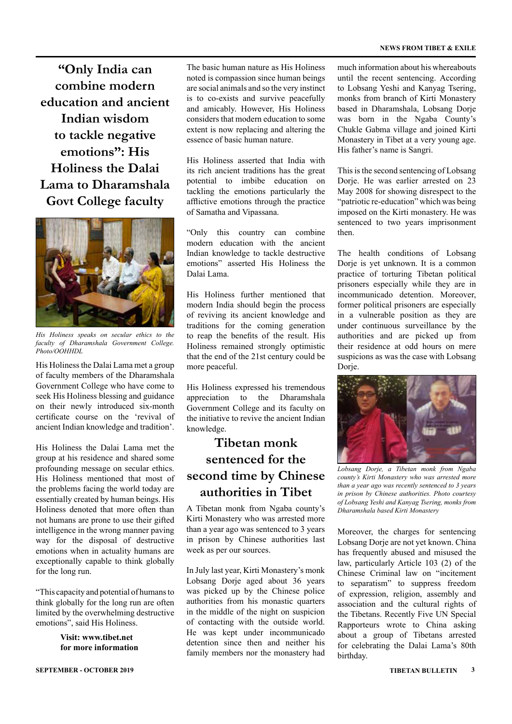**"Only India can combine modern education and ancient Indian wisdom to tackle negative emotions": His Holiness the Dalai Lama to Dharamshala Govt College faculty**



*His Holiness speaks on secular ethics to the faculty of Dharamshala Government College. Photo/OOHHDL*

His Holiness the Dalai Lama met a group of faculty members of the Dharamshala Government College who have come to seek His Holiness blessing and guidance on their newly introduced six-month certificate course on the 'revival of ancient Indian knowledge and tradition'.

His Holiness the Dalai Lama met the group at his residence and shared some profounding message on secular ethics. His Holiness mentioned that most of the problems facing the world today are essentially created by human beings. His Holiness denoted that more often than not humans are prone to use their gifted intelligence in the wrong manner paving way for the disposal of destructive emotions when in actuality humans are exceptionally capable to think globally for the long run.

"This capacity and potential of humans to think globally for the long run are often limited by the overwhelming destructive emotions", said His Holiness.

> **Visit: www.tibet.net for more information**

The basic human nature as His Holiness noted is compassion since human beings are social animals and so the very instinct is to co-exists and survive peacefully and amicably. However, His Holiness considers that modern education to some extent is now replacing and altering the essence of basic human nature.

His Holiness asserted that India with its rich ancient traditions has the great potential to imbibe education on tackling the emotions particularly the afflictive emotions through the practice of Samatha and Vipassana.

"Only this country can combine modern education with the ancient Indian knowledge to tackle destructive emotions" asserted His Holiness the Dalai Lama.

His Holiness further mentioned that modern India should begin the process of reviving its ancient knowledge and traditions for the coming generation to reap the benefits of the result. His Holiness remained strongly optimistic that the end of the 21st century could be more peaceful.

His Holiness expressed his tremendous appreciation to the Dharamshala Government College and its faculty on the initiative to revive the ancient Indian knowledge.

### **Tibetan monk sentenced for the second time by Chinese authorities in Tibet**

A Tibetan monk from Ngaba county's Kirti Monastery who was arrested more than a year ago was sentenced to 3 years in prison by Chinese authorities last week as per our sources.

In July last year, Kirti Monastery's monk Lobsang Dorje aged about 36 years was picked up by the Chinese police authorities from his monastic quarters in the middle of the night on suspicion of contacting with the outside world. He was kept under incommunicado detention since then and neither his family members nor the monastery had

much information about his whereabouts until the recent sentencing. According to Lobsang Yeshi and Kanyag Tsering, monks from branch of Kirti Monastery based in Dharamshala, Lobsang Dorje was born in the Ngaba County's Chukle Gabma village and joined Kirti Monastery in Tibet at a very young age. His father's name is Sangri.

This is the second sentencing of Lobsang Dorje. He was earlier arrested on 23 May 2008 for showing disrespect to the "patriotic re-education" which was being imposed on the Kirti monastery. He was sentenced to two years imprisonment then.

The health conditions of Lobsang Dorie is yet unknown. It is a common practice of torturing Tibetan political prisoners especially while they are in incommunicado detention. Moreover, former political prisoners are especially in a vulnerable position as they are under continuous surveillance by the authorities and are picked up from their residence at odd hours on mere suspicions as was the case with Lobsang Dorje.



*Lobsang Dorje, a Tibetan monk from Ngaba county's Kirti Monastery who was arrested more than a year ago was recently sentenced to 3 years in prison by Chinese authorities. Photo courtesy of Lobsang Yeshi and Kanyag Tsering, monks from Dharamshala based Kirti Monastery*

Moreover, the charges for sentencing Lobsang Dorje are not yet known. China has frequently abused and misused the law, particularly Article 103 (2) of the Chinese Criminal law on "incitement to separatism" to suppress freedom of expression, religion, assembly and association and the cultural rights of the Tibetans. Recently Five UN Special Rapporteurs wrote to China asking about a group of Tibetans arrested for celebrating the Dalai Lama's 80th birthday.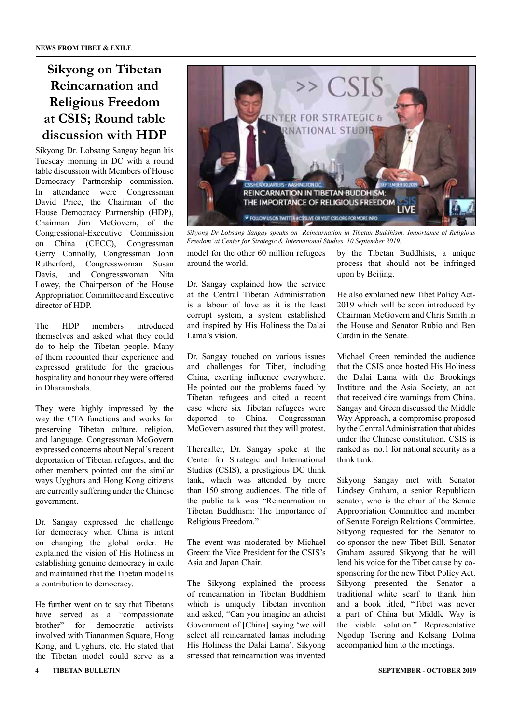### **Sikyong on Tibetan Reincarnation and Religious Freedom at CSIS; Round table discussion with HDP**

Sikyong Dr. Lobsang Sangay began his Tuesday morning in DC with a round table discussion with Members of House Democracy Partnership commission. In attendance were Congressman David Price, the Chairman of the House Democracy Partnership (HDP), Chairman Jim McGovern, of the Congressional-Executive Commission on China (CECC), Congressman Gerry Connolly, Congressman John Rutherford, Congresswoman Susan Davis, and Congresswoman Nita Lowey, the Chairperson of the House Appropriation Committee and Executive director of HDP.

The HDP members introduced themselves and asked what they could do to help the Tibetan people. Many of them recounted their experience and expressed gratitude for the gracious hospitality and honour they were offered in Dharamshala.

They were highly impressed by the way the CTA functions and works for preserving Tibetan culture, religion, and language. Congressman McGovern expressed concerns about Nepal's recent deportation of Tibetan refugees, and the other members pointed out the similar ways Uyghurs and Hong Kong citizens are currently suffering under the Chinese government.

Dr. Sangay expressed the challenge for democracy when China is intent on changing the global order. He explained the vision of His Holiness in establishing genuine democracy in exile and maintained that the Tibetan model is a contribution to democracy.

He further went on to say that Tibetans have served as a "compassionate<br>brother" for democratic activists for democratic activists involved with Tiananmen Square, Hong Kong, and Uyghurs, etc. He stated that the Tibetan model could serve as a



*Sikyong Dr Lobsang Sangay speaks on 'Reincarnation in Tibetan Buddhism: Importance of Religious Freedom' at Center for Strategic & International Studies, 10 September 2019.* 

model for the other 60 million refugees around the world.

Dr. Sangay explained how the service at the Central Tibetan Administration is a labour of love as it is the least corrupt system, a system established and inspired by His Holiness the Dalai Lama's vision.

Dr. Sangay touched on various issues and challenges for Tibet, including China, exerting influence everywhere. He pointed out the problems faced by Tibetan refugees and cited a recent case where six Tibetan refugees were deported to China. Congressman McGovern assured that they will protest.

Thereafter, Dr. Sangay spoke at the Center for Strategic and International Studies (CSIS), a prestigious DC think tank, which was attended by more than 150 strong audiences. The title of the public talk was "Reincarnation in Tibetan Buddhism: The Importance of Religious Freedom."

The event was moderated by Michael Green: the Vice President for the CSIS's Asia and Japan Chair.

The Sikyong explained the process of reincarnation in Tibetan Buddhism which is uniquely Tibetan invention and asked, "Can you imagine an atheist Government of [China] saying 'we will select all reincarnated lamas including His Holiness the Dalai Lama'. Sikyong stressed that reincarnation was invented

by the Tibetan Buddhists, a unique process that should not be infringed upon by Beijing.

He also explained new Tibet Policy Act-2019 which will be soon introduced by Chairman McGovern and Chris Smith in the House and Senator Rubio and Ben Cardin in the Senate.

Michael Green reminded the audience that the CSIS once hosted His Holiness the Dalai Lama with the Brookings Institute and the Asia Society, an act that received dire warnings from China. Sangay and Green discussed the Middle Way Approach, a compromise proposed by the Central Administration that abides under the Chinese constitution. CSIS is ranked as no.1 for national security as a think tank.

Sikyong Sangay met with Senator Lindsey Graham, a senior Republican senator, who is the chair of the Senate Appropriation Committee and member of Senate Foreign Relations Committee. Sikyong requested for the Senator to co-sponsor the new Tibet Bill. Senator Graham assured Sikyong that he will lend his voice for the Tibet cause by cosponsoring for the new Tibet Policy Act. Sikyong presented the Senator a traditional white scarf to thank him and a book titled, "Tibet was never a part of China but Middle Way is the viable solution." Representative Ngodup Tsering and Kelsang Dolma accompanied him to the meetings.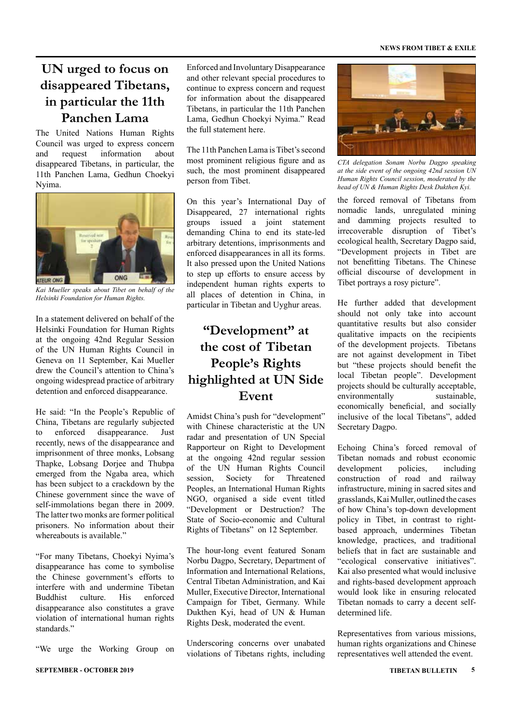#### **NEWS FROM TIBET & EXILE**

### **UN urged to focus on disappeared Tibetans, in particular the 11th Panchen Lama**

The United Nations Human Rights Council was urged to express concern and request information about disappeared Tibetans, in particular, the 11th Panchen Lama, Gedhun Choekyi Nyima.



*Kai Mueller speaks about Tibet on behalf of the Helsinki Foundation for Human Rights.*

In a statement delivered on behalf of the Helsinki Foundation for Human Rights at the ongoing 42nd Regular Session of the UN Human Rights Council in Geneva on 11 September, Kai Mueller drew the Council's attention to China's ongoing widespread practice of arbitrary detention and enforced disappearance.

He said: "In the People's Republic of China, Tibetans are regularly subjected to enforced disappearance. Just recently, news of the disappearance and imprisonment of three monks, Lobsang Thapke, Lobsang Dorjee and Thubpa emerged from the Ngaba area, which has been subject to a crackdown by the Chinese government since the wave of self-immolations began there in 2009. The latter two monks are former political prisoners. No information about their whereabouts is available."

"For many Tibetans, Choekyi Nyima's disappearance has come to symbolise the Chinese government's efforts to interfere with and undermine Tibetan Buddhist culture. His enforced disappearance also constitutes a grave violation of international human rights standards."

"We urge the Working Group on

Enforced and Involuntary Disappearance and other relevant special procedures to continue to express concern and request for information about the disappeared Tibetans, in particular the 11th Panchen Lama, Gedhun Choekyi Nyima." Read the full statement here.

The 11th Panchen Lama is Tibet's second most prominent religious figure and as such, the most prominent disappeared person from Tibet.

On this year's International Day of Disappeared, 27 international rights groups issued a joint statement demanding China to end its state-led arbitrary detentions, imprisonments and enforced disappearances in all its forms. It also pressed upon the United Nations to step up efforts to ensure access by independent human rights experts to all places of detention in China, in particular in Tibetan and Uyghur areas.

### **"Development" at the cost of Tibetan People's Rights highlighted at UN Side Event**

Amidst China's push for "development" with Chinese characteristic at the UN radar and presentation of UN Special Rapporteur on Right to Development at the ongoing 42nd regular session of the UN Human Rights Council session, Society for Threatened Peoples, an International Human Rights NGO, organised a side event titled "Development or Destruction? The State of Socio-economic and Cultural Rights of Tibetans" on 12 September.

The hour-long event featured Sonam Norbu Dagpo, Secretary, Department of Information and International Relations, Central Tibetan Administration, and Kai Muller, Executive Director, International Campaign for Tibet, Germany. While Dukthen Kyi, head of UN & Human Rights Desk, moderated the event.

Underscoring concerns over unabated violations of Tibetans rights, including



*CTA delegation Sonam Norbu Dagpo speaking at the side event of the ongoing 42nd session UN Human Rights Council session, moderated by the head of UN & Human Rights Desk Dukthen Kyi.*

the forced removal of Tibetans from nomadic lands, unregulated mining and damming projects resulted to irrecoverable disruption of Tibet's ecological health, Secretary Dagpo said, "Development projects in Tibet are not benefitting Tibetans. The Chinese official discourse of development in Tibet portrays a rosy picture".

He further added that development should not only take into account quantitative results but also consider qualitative impacts on the recipients of the development projects. Tibetans are not against development in Tibet but "these projects should benefit the local Tibetan people". Development projects should be culturally acceptable, environmentally sustainable, economically beneficial, and socially inclusive of the local Tibetans", added Secretary Dagpo.

Echoing China's forced removal of Tibetan nomads and robust economic development policies, including construction of road and railway infrastructure, mining in sacred sites and grasslands, Kai Muller, outlined the cases of how China's top-down development policy in Tibet, in contrast to rightbased approach, undermines Tibetan knowledge, practices, and traditional beliefs that in fact are sustainable and "ecological conservative initiatives". Kai also presented what would inclusive and rights-based development approach would look like in ensuring relocated Tibetan nomads to carry a decent selfdetermined life.

Representatives from various missions, human rights organizations and Chinese representatives well attended the event.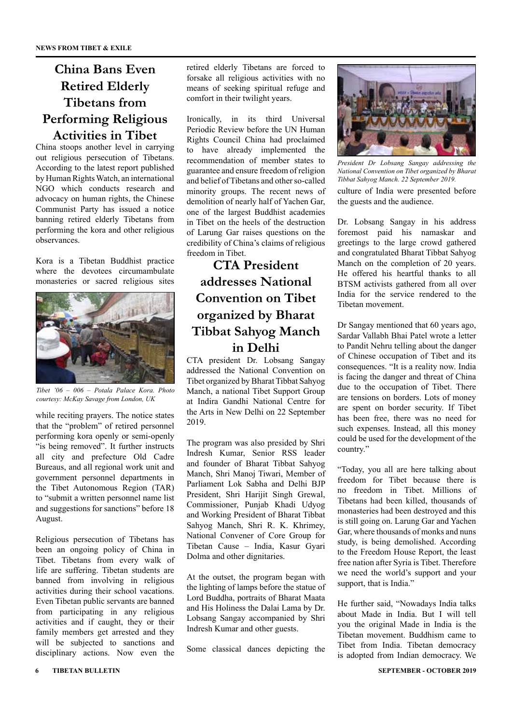### **China Bans Even Retired Elderly Tibetans from Performing Religious Activities in Tibet**

China stoops another level in carrying out religious persecution of Tibetans. According to the latest report published by Human Rights Watch, an international NGO which conducts research and advocacy on human rights, the Chinese Communist Party has issued a notice banning retired elderly Tibetans from performing the kora and other religious observances.

Kora is a Tibetan Buddhist practice where the devotees circumambulate monasteries or sacred religious sites



*Tibet '06 – 006 – Potala Palace Kora. Photo courtesy: McKay Savage from London, UK*

while reciting prayers. The notice states that the "problem" of retired personnel performing kora openly or semi-openly "is being removed". It further instructs all city and prefecture Old Cadre Bureaus, and all regional work unit and government personnel departments in the Tibet Autonomous Region (TAR) to "submit a written personnel name list and suggestions for sanctions" before 18 August.

Religious persecution of Tibetans has been an ongoing policy of China in Tibet. Tibetans from every walk of life are suffering. Tibetan students are banned from involving in religious activities during their school vacations. Even Tibetan public servants are banned from participating in any religious activities and if caught, they or their family members get arrested and they will be subjected to sanctions and disciplinary actions. Now even the

retired elderly Tibetans are forced to forsake all religious activities with no means of seeking spiritual refuge and comfort in their twilight years.

Ironically, in its third Universal Periodic Review before the UN Human Rights Council China had proclaimed to have already implemented the recommendation of member states to guarantee and ensure freedom of religion and belief of Tibetans and other so-called minority groups. The recent news of demolition of nearly half of Yachen Gar, one of the largest Buddhist academies in Tibet on the heels of the destruction of Larung Gar raises questions on the credibility of China's claims of religious freedom in Tibet.

### **CTA President addresses National Convention on Tibet organized by Bharat Tibbat Sahyog Manch in Delhi**

CTA president Dr. Lobsang Sangay addressed the National Convention on Tibet organized by Bharat Tibbat Sahyog Manch, a national Tibet Support Group at Indira Gandhi National Centre for the Arts in New Delhi on 22 September 2019.

The program was also presided by Shri Indresh Kumar, Senior RSS leader and founder of Bharat Tibbat Sahyog Manch, Shri Manoj Tiwari, Member of Parliament Lok Sabha and Delhi BJP President, Shri Harijit Singh Grewal, Commissioner, Punjab Khadi Udyog and Working President of Bharat Tibbat Sahyog Manch, Shri R. K. Khrimey, National Convener of Core Group for Tibetan Cause – India, Kasur Gyari Dolma and other dignitaries.

At the outset, the program began with the lighting of lamps before the statue of Lord Buddha, portraits of Bharat Maata and His Holiness the Dalai Lama by Dr. Lobsang Sangay accompanied by Shri Indresh Kumar and other guests.

Some classical dances depicting the



*President Dr Lobsang Sangay addressing the National Convention on Tibet organized by Bharat Tibbat Sahyog Manch. 22 September 2019.*

culture of India were presented before the guests and the audience.

Dr. Lobsang Sangay in his address foremost paid his namaskar and greetings to the large crowd gathered and congratulated Bharat Tibbat Sahyog Manch on the completion of 20 years. He offered his heartful thanks to all BTSM activists gathered from all over India for the service rendered to the Tibetan movement.

Dr Sangay mentioned that 60 years ago, Sardar Vallabh Bhai Patel wrote a letter to Pandit Nehru telling about the danger of Chinese occupation of Tibet and its consequences. "It is a reality now. India is facing the danger and threat of China due to the occupation of Tibet. There are tensions on borders. Lots of money are spent on border security. If Tibet has been free, there was no need for such expenses. Instead, all this money could be used for the development of the country."

"Today, you all are here talking about freedom for Tibet because there is no freedom in Tibet. Millions of Tibetans had been killed, thousands of monasteries had been destroyed and this is still going on. Larung Gar and Yachen Gar, where thousands of monks and nuns study, is being demolished. According to the Freedom House Report, the least free nation after Syria is Tibet. Therefore we need the world's support and your support, that is India."

He further said, "Nowadays India talks about Made in India. But I will tell you the original Made in India is the Tibetan movement. Buddhism came to Tibet from India. Tibetan democracy is adopted from Indian democracy. We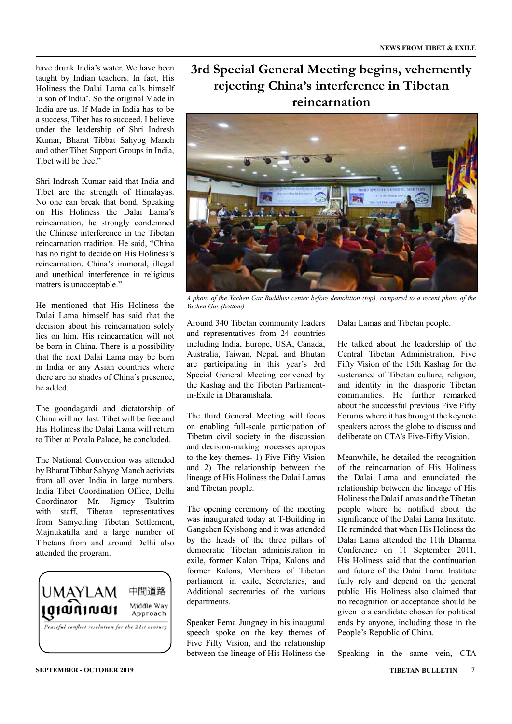have drunk India's water. We have been taught by Indian teachers. In fact, His Holiness the Dalai Lama calls himself 'a son of India'. So the original Made in India are us. If Made in India has to be a success, Tibet has to succeed. I believe under the leadership of Shri Indresh Kumar, Bharat Tibbat Sahyog Manch and other Tibet Support Groups in India, Tibet will be free."

Shri Indresh Kumar said that India and Tibet are the strength of Himalayas. No one can break that bond. Speaking on His Holiness the Dalai Lama's reincarnation, he strongly condemned the Chinese interference in the Tibetan reincarnation tradition. He said, "China has no right to decide on His Holiness's reincarnation. China's immoral, illegal and unethical interference in religious matters is unacceptable."

He mentioned that His Holiness the Dalai Lama himself has said that the decision about his reincarnation solely lies on him. His reincarnation will not be born in China. There is a possibility that the next Dalai Lama may be born in India or any Asian countries where there are no shades of China's presence, he added.

The goondagardi and dictatorship of China will not last. Tibet will be free and His Holiness the Dalai Lama will return to Tibet at Potala Palace, he concluded.

The National Convention was attended by Bharat Tibbat Sahyog Manch activists from all over India in large numbers. India Tibet Coordination Office, Delhi Coordinator Mr. Jigmey Tsultrim with staff, Tibetan representatives from Samyelling Tibetan Settlement, Majnukatilla and a large number of Tibetans from and around Delhi also attended the program.



### **3rd Special General Meeting begins, vehemently rejecting China's interference in Tibetan reincarnation**



*A photo of the Yachen Gar Buddhist center before demolition (top), compared to a recent photo of the Yachen Gar (bottom).*

Around 340 Tibetan community leaders and representatives from 24 countries including India, Europe, USA, Canada, Australia, Taiwan, Nepal, and Bhutan are participating in this year's 3rd Special General Meeting convened by the Kashag and the Tibetan Parliamentin-Exile in Dharamshala.

The third General Meeting will focus on enabling full-scale participation of Tibetan civil society in the discussion and decision-making processes apropos to the key themes- 1) Five Fifty Vision and 2) The relationship between the lineage of His Holiness the Dalai Lamas and Tibetan people.

The opening ceremony of the meeting was inaugurated today at T-Building in Gangchen Kyishong and it was attended by the heads of the three pillars of democratic Tibetan administration in exile, former Kalon Tripa, Kalons and former Kalons, Members of Tibetan parliament in exile, Secretaries, and Additional secretaries of the various departments.

Speaker Pema Jungney in his inaugural speech spoke on the key themes of Five Fifty Vision, and the relationship between the lineage of His Holiness the Dalai Lamas and Tibetan people.

He talked about the leadership of the Central Tibetan Administration, Five Fifty Vision of the 15th Kashag for the sustenance of Tibetan culture, religion, and identity in the diasporic Tibetan communities. He further remarked about the successful previous Five Fifty Forums where it has brought the keynote speakers across the globe to discuss and deliberate on CTA's Five-Fifty Vision.

Meanwhile, he detailed the recognition of the reincarnation of His Holiness the Dalai Lama and enunciated the relationship between the lineage of His Holiness the Dalai Lamas and the Tibetan people where he notified about the significance of the Dalai Lama Institute. He reminded that when His Holiness the Dalai Lama attended the 11th Dharma Conference on 11 September 2011, His Holiness said that the continuation and future of the Dalai Lama Institute fully rely and depend on the general public. His Holiness also claimed that no recognition or acceptance should be given to a candidate chosen for political ends by anyone, including those in the People's Republic of China.

Speaking in the same vein, CTA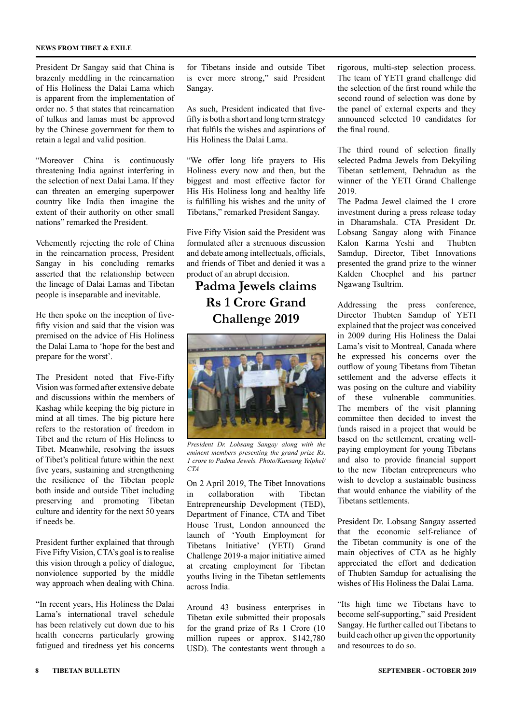#### **NEWS FROM TIBET & EXILE**

President Dr Sangay said that China is brazenly meddling in the reincarnation of His Holiness the Dalai Lama which is apparent from the implementation of order no. 5 that states that reincarnation of tulkus and lamas must be approved by the Chinese government for them to retain a legal and valid position.

"Moreover China is continuously threatening India against interfering in the selection of next Dalai Lama. If they can threaten an emerging superpower country like India then imagine the extent of their authority on other small nations" remarked the President.

Vehemently rejecting the role of China in the reincarnation process, President Sangay in his concluding remarks asserted that the relationship between the lineage of Dalai Lamas and Tibetan people is inseparable and inevitable.

He then spoke on the inception of fivefifty vision and said that the vision was premised on the advice of His Holiness the Dalai Lama to 'hope for the best and prepare for the worst'.

The President noted that Five-Fifty Vision was formed after extensive debate and discussions within the members of Kashag while keeping the big picture in mind at all times. The big picture here refers to the restoration of freedom in Tibet and the return of His Holiness to Tibet. Meanwhile, resolving the issues of Tibet's political future within the next five years, sustaining and strengthening the resilience of the Tibetan people both inside and outside Tibet including preserving and promoting Tibetan culture and identity for the next 50 years if needs be.

President further explained that through Five Fifty Vision, CTA's goal is to realise this vision through a policy of dialogue, nonviolence supported by the middle way approach when dealing with China.

"In recent years, His Holiness the Dalai Lama's international travel schedule has been relatively cut down due to his health concerns particularly growing fatigued and tiredness yet his concerns

for Tibetans inside and outside Tibet is ever more strong," said President Sangay.

As such, President indicated that fivefifty is both a short and long term strategy that fulfils the wishes and aspirations of His Holiness the Dalai Lama.

"We offer long life prayers to His Holiness every now and then, but the biggest and most effective factor for His His Holiness long and healthy life is fulfilling his wishes and the unity of Tibetans," remarked President Sangay.

Five Fifty Vision said the President was formulated after a strenuous discussion and debate among intellectuals, officials, and friends of Tibet and denied it was a product of an abrupt decision.

### **Padma Jewels claims Rs 1 Crore Grand Challenge 2019**



*President Dr. Lobsang Sangay along with the eminent members presenting the grand prize Rs. 1 crore to Padma Jewels. Photo/Kunsang Yelphel/ CTA*

On 2 April 2019, The Tibet Innovations in collaboration with Tibetan Entrepreneurship Development (TED), Department of Finance, CTA and Tibet House Trust, London announced the launch of 'Youth Employment for Tibetans Initiative' (YETI) Grand Challenge 2019-a major initiative aimed at creating employment for Tibetan youths living in the Tibetan settlements across India.

Around 43 business enterprises in Tibetan exile submitted their proposals for the grand prize of Rs 1 Crore (10 million rupees or approx. \$142,780 USD). The contestants went through a rigorous, multi-step selection process. The team of YETI grand challenge did the selection of the first round while the second round of selection was done by the panel of external experts and they announced selected 10 candidates for the final round.

The third round of selection finally selected Padma Jewels from Dekyiling Tibetan settlement, Dehradun as the winner of the YETI Grand Challenge 2019.

The Padma Jewel claimed the 1 crore investment during a press release today in Dharamshala. CTA President Dr. Lobsang Sangay along with Finance Kalon Karma Yeshi and Thubten Samdup, Director, Tibet Innovations presented the grand prize to the winner Kalden Choephel and his partner Ngawang Tsultrim.

Addressing the press conference, Director Thubten Samdup of YETI explained that the project was conceived in 2009 during His Holiness the Dalai Lama's visit to Montreal, Canada where he expressed his concerns over the outflow of young Tibetans from Tibetan settlement and the adverse effects it was posing on the culture and viability of these vulnerable communities. The members of the visit planning committee then decided to invest the funds raised in a project that would be based on the settlement, creating wellpaying employment for young Tibetans and also to provide financial support to the new Tibetan entrepreneurs who wish to develop a sustainable business that would enhance the viability of the Tibetans settlements.

President Dr. Lobsang Sangay asserted that the economic self-reliance of the Tibetan community is one of the main objectives of CTA as he highly appreciated the effort and dedication of Thubten Samdup for actualising the wishes of His Holiness the Dalai Lama.

"Its high time we Tibetans have to become self-supporting," said President Sangay. He further called out Tibetans to build each other up given the opportunity and resources to do so.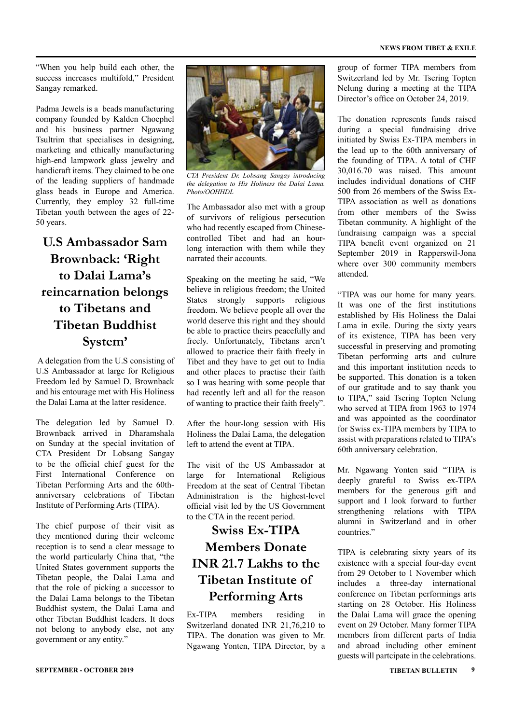"When you help build each other, the success increases multifold," President Sangay remarked.

Padma Jewels is a beads manufacturing company founded by Kalden Choephel and his business partner Ngawang Tsultrim that specialises in designing, marketing and ethically manufacturing high-end lampwork glass jewelry and handicraft items. They claimed to be one of the leading suppliers of handmade glass beads in Europe and America. Currently, they employ 32 full-time Tibetan youth between the ages of 22- 50 years.

### **U.S Ambassador Sam Brownback: 'Right to Dalai Lama's reincarnation belongs to Tibetans and Tibetan Buddhist System'**

 A delegation from the U.S consisting of U.S Ambassador at large for Religious Freedom led by Samuel D. Brownback and his entourage met with His Holiness the Dalai Lama at the latter residence.

The delegation led by Samuel D. Brownback arrived in Dharamshala on Sunday at the special invitation of CTA President Dr Lobsang Sangay to be the official chief guest for the First International Conference on Tibetan Performing Arts and the 60thanniversary celebrations of Tibetan Institute of Performing Arts (TIPA).

The chief purpose of their visit as they mentioned during their welcome reception is to send a clear message to the world particularly China that, "the United States government supports the Tibetan people, the Dalai Lama and that the role of picking a successor to the Dalai Lama belongs to the Tibetan Buddhist system, the Dalai Lama and other Tibetan Buddhist leaders. It does not belong to anybody else, not any government or any entity."



*CTA President Dr. Lobsang Sangay introducing the delegation to His Holiness the Dalai Lama. Photo/OOHHDL*

The Ambassador also met with a group of survivors of religious persecution who had recently escaped from Chinesecontrolled Tibet and had an hourlong interaction with them while they narrated their accounts.

Speaking on the meeting he said, "We believe in religious freedom; the United States strongly supports religious freedom. We believe people all over the world deserve this right and they should be able to practice theirs peacefully and freely. Unfortunately, Tibetans aren't allowed to practice their faith freely in Tibet and they have to get out to India and other places to practise their faith so I was hearing with some people that had recently left and all for the reason of wanting to practice their faith freely".

After the hour-long session with His Holiness the Dalai Lama, the delegation left to attend the event at TIPA.

The visit of the US Ambassador at large for International Religious Freedom at the seat of Central Tibetan Administration is the highest-level official visit led by the US Government to the CTA in the recent period.

### **Swiss Ex-TIPA Members Donate INR 21.7 Lakhs to the Tibetan Institute of Performing Arts**

Ex-TIPA members residing in Switzerland donated INR 21,76,210 to TIPA. The donation was given to Mr. Ngawang Yonten, TIPA Director, by a group of former TIPA members from Switzerland led by Mr. Tsering Topten Nelung during a meeting at the TIPA Director's office on October 24, 2019.

The donation represents funds raised during a special fundraising drive initiated by Swiss Ex-TIPA members in the lead up to the 60th anniversary of the founding of TIPA. A total of CHF 30,016.70 was raised. This amount includes individual donations of CHF 500 from 26 members of the Swiss Ex-TIPA association as well as donations from other members of the Swiss Tibetan community. A highlight of the fundraising campaign was a special TIPA benefit event organized on 21 September 2019 in Rapperswil-Jona where over 300 community members attended.

"TIPA was our home for many years. It was one of the first institutions established by His Holiness the Dalai Lama in exile. During the sixty years of its existence, TIPA has been very successful in preserving and promoting Tibetan performing arts and culture and this important institution needs to be supported. This donation is a token of our gratitude and to say thank you to TIPA," said Tsering Topten Nelung who served at TIPA from 1963 to 1974 and was appointed as the coordinator for Swiss ex-TIPA members by TIPA to assist with preparations related to TIPA's 60th anniversary celebration.

Mr. Ngawang Yonten said "TIPA is deeply grateful to Swiss ex-TIPA members for the generous gift and support and I look forward to further strengthening relations with TIPA alumni in Switzerland and in other countries."

TIPA is celebrating sixty years of its existence with a special four-day event from 29 October to 1 November which includes a three-day international conference on Tibetan performings arts starting on 28 October. His Holiness the Dalai Lama will grace the opening event on 29 October. Many former TIPA members from different parts of India and abroad including other eminent guests will partcipate in the celebrations.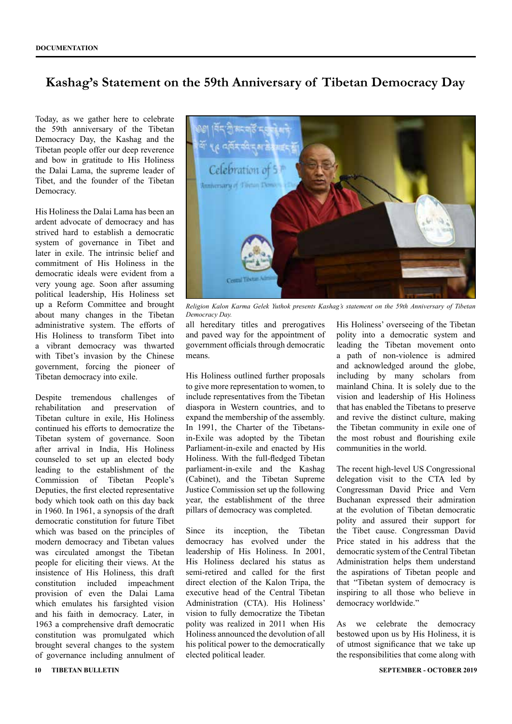### **Kashag's Statement on the 59th Anniversary of Tibetan Democracy Day**

Today, as we gather here to celebrate the 59th anniversary of the Tibetan Democracy Day, the Kashag and the Tibetan people offer our deep reverence and bow in gratitude to His Holiness the Dalai Lama, the supreme leader of Tibet, and the founder of the Tibetan Democracy.

His Holiness the Dalai Lama has been an ardent advocate of democracy and has strived hard to establish a democratic system of governance in Tibet and later in exile. The intrinsic belief and commitment of His Holiness in the democratic ideals were evident from a very young age. Soon after assuming political leadership, His Holiness set up a Reform Committee and brought about many changes in the Tibetan administrative system. The efforts of His Holiness to transform Tibet into a vibrant democracy was thwarted with Tibet's invasion by the Chinese government, forcing the pioneer of Tibetan democracy into exile.

Despite tremendous challenges of rehabilitation and preservation of Tibetan culture in exile, His Holiness continued his efforts to democratize the Tibetan system of governance. Soon after arrival in India, His Holiness counseled to set up an elected body leading to the establishment of the Commission of Tibetan People's Deputies, the first elected representative body which took oath on this day back in 1960. In 1961, a synopsis of the draft democratic constitution for future Tibet which was based on the principles of modern democracy and Tibetan values was circulated amongst the Tibetan people for eliciting their views. At the insistence of His Holiness, this draft constitution included impeachment provision of even the Dalai Lama which emulates his farsighted vision and his faith in democracy. Later, in 1963 a comprehensive draft democratic constitution was promulgated which brought several changes to the system of governance including annulment of



*Religion Kalon Karma Gelek Yuthok presents Kashag's statement on the 59th Anniversary of Tibetan Democracy Day.*

all hereditary titles and prerogatives and paved way for the appointment of government officials through democratic means.

His Holiness outlined further proposals to give more representation to women, to include representatives from the Tibetan diaspora in Western countries, and to expand the membership of the assembly. In 1991, the Charter of the Tibetansin-Exile was adopted by the Tibetan Parliament-in-exile and enacted by His Holiness. With the full-fledged Tibetan parliament-in-exile and the Kashag (Cabinet), and the Tibetan Supreme Justice Commission set up the following year, the establishment of the three pillars of democracy was completed.

Since its inception, the Tibetan democracy has evolved under the leadership of His Holiness. In 2001, His Holiness declared his status as semi-retired and called for the first direct election of the Kalon Tripa, the executive head of the Central Tibetan Administration (CTA). His Holiness' vision to fully democratize the Tibetan polity was realized in 2011 when His Holiness announced the devolution of all his political power to the democratically elected political leader.

His Holiness' overseeing of the Tibetan polity into a democratic system and leading the Tibetan movement onto a path of non-violence is admired and acknowledged around the globe, including by many scholars from mainland China. It is solely due to the vision and leadership of His Holiness that has enabled the Tibetans to preserve and revive the distinct culture, making the Tibetan community in exile one of the most robust and flourishing exile communities in the world.

The recent high-level US Congressional delegation visit to the CTA led by Congressman David Price and Vern Buchanan expressed their admiration at the evolution of Tibetan democratic polity and assured their support for the Tibet cause. Congressman David Price stated in his address that the democratic system of the Central Tibetan Administration helps them understand the aspirations of Tibetan people and that "Tibetan system of democracy is inspiring to all those who believe in democracy worldwide."

As we celebrate the democracy bestowed upon us by His Holiness, it is of utmost significance that we take up the responsibilities that come along with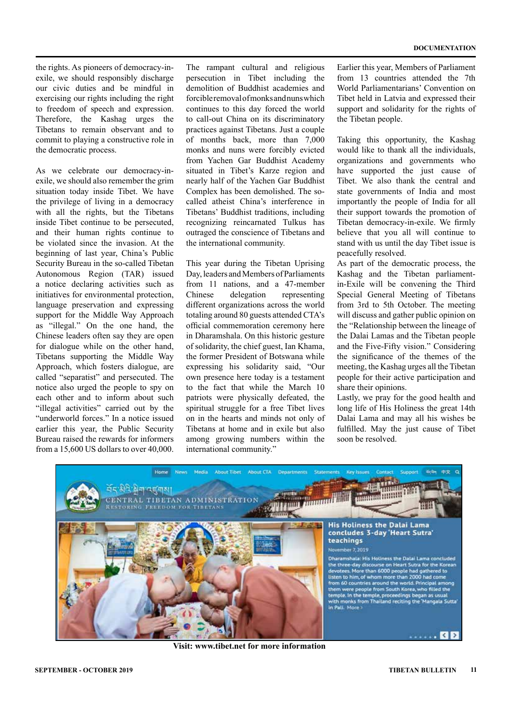the rights. As pioneers of democracy-inexile, we should responsibly discharge our civic duties and be mindful in exercising our rights including the right to freedom of speech and expression. Therefore, the Kashag urges the Tibetans to remain observant and to commit to playing a constructive role in the democratic process.

As we celebrate our democracy-inexile, we should also remember the grim situation today inside Tibet. We have the privilege of living in a democracy with all the rights, but the Tibetans inside Tibet continue to be persecuted, and their human rights continue to be violated since the invasion. At the beginning of last year, China's Public Security Bureau in the so-called Tibetan Autonomous Region (TAR) issued a notice declaring activities such as initiatives for environmental protection, language preservation and expressing support for the Middle Way Approach as "illegal." On the one hand, the Chinese leaders often say they are open for dialogue while on the other hand, Tibetans supporting the Middle Way Approach, which fosters dialogue, are called "separatist" and persecuted. The notice also urged the people to spy on each other and to inform about such "illegal activities" carried out by the "underworld forces." In a notice issued earlier this year, the Public Security Bureau raised the rewards for informers from a 15,600 US dollars to over 40,000.

The rampant cultural and religious persecution in Tibet including the demolition of Buddhist academies and forcible removal of monks and nuns which continues to this day forced the world to call-out China on its discriminatory practices against Tibetans. Just a couple of months back, more than 7,000 monks and nuns were forcibly evicted from Yachen Gar Buddhist Academy situated in Tibet's Karze region and nearly half of the Yachen Gar Buddhist Complex has been demolished. The socalled atheist China's interference in Tibetans' Buddhist traditions, including recognizing reincarnated Tulkus has outraged the conscience of Tibetans and the international community.

This year during the Tibetan Uprising Day, leaders and Members of Parliaments from 11 nations, and a 47-member Chinese delegation representing different organizations across the world totaling around 80 guests attended CTA's official commemoration ceremony here in Dharamshala. On this historic gesture of solidarity, the chief guest, Ian Khama, the former President of Botswana while expressing his solidarity said, "Our own presence here today is a testament to the fact that while the March 10 patriots were physically defeated, the spiritual struggle for a free Tibet lives on in the hearts and minds not only of Tibetans at home and in exile but also among growing numbers within the international community."

Earlier this year, Members of Parliament from 13 countries attended the 7th World Parliamentarians' Convention on Tibet held in Latvia and expressed their support and solidarity for the rights of the Tibetan people.

Taking this opportunity, the Kashag would like to thank all the individuals, organizations and governments who have supported the just cause of Tibet. We also thank the central and state governments of India and most importantly the people of India for all their support towards the promotion of Tibetan democracy-in-exile. We firmly believe that you all will continue to stand with us until the day Tibet issue is peacefully resolved.

As part of the democratic process, the Kashag and the Tibetan parliamentin-Exile will be convening the Third Special General Meeting of Tibetans from 3rd to 5th October. The meeting will discuss and gather public opinion on the "Relationship between the lineage of the Dalai Lamas and the Tibetan people and the Five-Fifty vision." Considering the significance of the themes of the meeting, the Kashag urges all the Tibetan people for their active participation and share their opinions.

Lastly, we pray for the good health and long life of His Holiness the great 14th Dalai Lama and may all his wishes be fulfilled. May the just cause of Tibet soon be resolved.



**Visit: www.tibet.net for more information**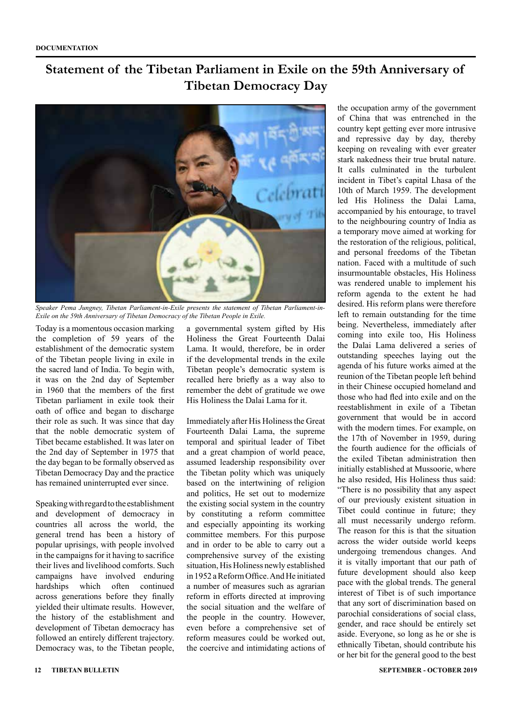### **Statement of the Tibetan Parliament in Exile on the 59th Anniversary of Tibetan Democracy Day**



*Speaker Pema Jungney, Tibetan Parliament-in-Exile presents the statement of Tibetan Parliament-in-Exile on the 59th Anniversary of Tibetan Democracy of the Tibetan People in Exile.* 

Today is a momentous occasion marking the completion of 59 years of the establishment of the democratic system of the Tibetan people living in exile in the sacred land of India. To begin with, it was on the 2nd day of September in 1960 that the members of the first Tibetan parliament in exile took their oath of office and began to discharge their role as such. It was since that day that the noble democratic system of Tibet became established. It was later on the 2nd day of September in 1975 that the day began to be formally observed as Tibetan Democracy Day and the practice has remained uninterrupted ever since.

Speaking with regard to the establishment and development of democracy in countries all across the world, the general trend has been a history of popular uprisings, with people involved in the campaigns for it having to sacrifice their lives and livelihood comforts. Such campaigns have involved enduring hardships which often continued across generations before they finally yielded their ultimate results. However, the history of the establishment and development of Tibetan democracy has followed an entirely different trajectory. Democracy was, to the Tibetan people,

a governmental system gifted by His Holiness the Great Fourteenth Dalai Lama. It would, therefore, be in order if the developmental trends in the exile Tibetan people's democratic system is recalled here briefly as a way also to remember the debt of gratitude we owe His Holiness the Dalai Lama for it.

Immediately after His Holiness the Great Fourteenth Dalai Lama, the supreme temporal and spiritual leader of Tibet and a great champion of world peace, assumed leadership responsibility over the Tibetan polity which was uniquely based on the intertwining of religion and politics, He set out to modernize the existing social system in the country by constituting a reform committee and especially appointing its working committee members. For this purpose and in order to be able to carry out a comprehensive survey of the existing situation, His Holiness newly established in 1952 a Reform Office. And He initiated a number of measures such as agrarian reform in efforts directed at improving the social situation and the welfare of the people in the country. However, even before a comprehensive set of reform measures could be worked out, the coercive and intimidating actions of

the occupation army of the government of China that was entrenched in the country kept getting ever more intrusive and repressive day by day, thereby keeping on revealing with ever greater stark nakedness their true brutal nature. It calls culminated in the turbulent incident in Tibet's capital Lhasa of the 10th of March 1959. The development led His Holiness the Dalai Lama, accompanied by his entourage, to travel to the neighbouring country of India as a temporary move aimed at working for the restoration of the religious, political, and personal freedoms of the Tibetan nation. Faced with a multitude of such insurmountable obstacles, His Holiness was rendered unable to implement his reform agenda to the extent he had desired. His reform plans were therefore left to remain outstanding for the time being. Nevertheless, immediately after coming into exile too, His Holiness the Dalai Lama delivered a series of outstanding speeches laying out the agenda of his future works aimed at the reunion of the Tibetan people left behind in their Chinese occupied homeland and those who had fled into exile and on the reestablishment in exile of a Tibetan government that would be in accord with the modern times. For example, on the 17th of November in 1959, during the fourth audience for the officials of the exiled Tibetan administration then initially established at Mussoorie, where he also resided, His Holiness thus said: "There is no possibility that any aspect of our previously existent situation in Tibet could continue in future; they all must necessarily undergo reform. The reason for this is that the situation across the wider outside world keeps undergoing tremendous changes. And it is vitally important that our path of future development should also keep pace with the global trends. The general interest of Tibet is of such importance that any sort of discrimination based on parochial considerations of social class, gender, and race should be entirely set aside. Everyone, so long as he or she is ethnically Tibetan, should contribute his or her bit for the general good to the best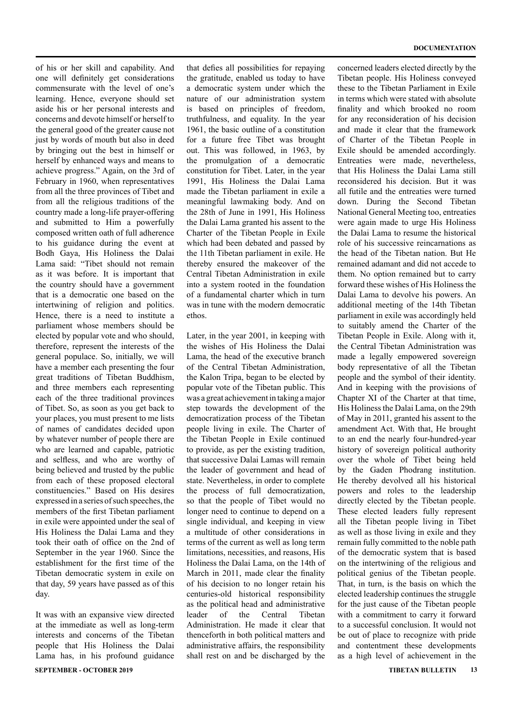of his or her skill and capability. And one will definitely get considerations commensurate with the level of one's learning. Hence, everyone should set aside his or her personal interests and concerns and devote himself or herself to the general good of the greater cause not just by words of mouth but also in deed by bringing out the best in himself or herself by enhanced ways and means to achieve progress." Again, on the 3rd of February in 1960, when representatives from all the three provinces of Tibet and from all the religious traditions of the country made a long-life prayer-offering and submitted to Him a powerfully composed written oath of full adherence to his guidance during the event at Bodh Gaya, His Holiness the Dalai Lama said: "Tibet should not remain as it was before. It is important that the country should have a government that is a democratic one based on the intertwining of religion and politics. Hence, there is a need to institute a parliament whose members should be elected by popular vote and who should, therefore, represent the interests of the general populace. So, initially, we will have a member each presenting the four great traditions of Tibetan Buddhism, and three members each representing each of the three traditional provinces of Tibet. So, as soon as you get back to your places, you must present to me lists of names of candidates decided upon by whatever number of people there are who are learned and capable, patriotic and selfless, and who are worthy of being believed and trusted by the public from each of these proposed electoral constituencies." Based on His desires expressed in a series of such speeches, the members of the first Tibetan parliament in exile were appointed under the seal of His Holiness the Dalai Lama and they took their oath of office on the 2nd of September in the year 1960. Since the establishment for the first time of the Tibetan democratic system in exile on that day, 59 years have passed as of this day.

**SEPTEMBER - OCTOBER 2019 TIBETAN BULLETIN 13** It was with an expansive view directed at the immediate as well as long-term interests and concerns of the Tibetan people that His Holiness the Dalai Lama has, in his profound guidance

that defies all possibilities for repaying the gratitude, enabled us today to have a democratic system under which the nature of our administration system is based on principles of freedom, truthfulness, and equality. In the year 1961, the basic outline of a constitution for a future free Tibet was brought out. This was followed, in 1963, by the promulgation of a democratic constitution for Tibet. Later, in the year 1991, His Holiness the Dalai Lama made the Tibetan parliament in exile a meaningful lawmaking body. And on the 28th of June in 1991, His Holiness the Dalai Lama granted his assent to the Charter of the Tibetan People in Exile which had been debated and passed by the 11th Tibetan parliament in exile. He thereby ensured the makeover of the Central Tibetan Administration in exile into a system rooted in the foundation of a fundamental charter which in turn was in tune with the modern democratic ethos.

Later, in the year 2001, in keeping with the wishes of His Holiness the Dalai Lama, the head of the executive branch of the Central Tibetan Administration, the Kalon Tripa, began to be elected by popular vote of the Tibetan public. This was a great achievement in taking a major step towards the development of the democratization process of the Tibetan people living in exile. The Charter of the Tibetan People in Exile continued to provide, as per the existing tradition, that successive Dalai Lamas will remain the leader of government and head of state. Nevertheless, in order to complete the process of full democratization, so that the people of Tibet would no longer need to continue to depend on a single individual, and keeping in view a multitude of other considerations in terms of the current as well as long term limitations, necessities, and reasons, His Holiness the Dalai Lama, on the 14th of March in 2011, made clear the finality of his decision to no longer retain his centuries-old historical responsibility as the political head and administrative leader of the Central Tibetan Administration. He made it clear that thenceforth in both political matters and administrative affairs, the responsibility shall rest on and be discharged by the concerned leaders elected directly by the Tibetan people. His Holiness conveyed these to the Tibetan Parliament in Exile in terms which were stated with absolute finality and which brooked no room for any reconsideration of his decision and made it clear that the framework of Charter of the Tibetan People in Exile should be amended accordingly. Entreaties were made, nevertheless, that His Holiness the Dalai Lama still reconsidered his decision. But it was all futile and the entreaties were turned down. During the Second Tibetan National General Meeting too, entreaties were again made to urge His Holiness the Dalai Lama to resume the historical role of his successive reincarnations as the head of the Tibetan nation. But He remained adamant and did not accede to them. No option remained but to carry forward these wishes of His Holiness the Dalai Lama to devolve his powers. An additional meeting of the 14th Tibetan parliament in exile was accordingly held to suitably amend the Charter of the Tibetan People in Exile. Along with it, the Central Tibetan Administration was made a legally empowered sovereign body representative of all the Tibetan people and the symbol of their identity. And in keeping with the provisions of Chapter XI of the Charter at that time, His Holiness the Dalai Lama, on the 29th of May in 2011, granted his assent to the amendment Act. With that, He brought to an end the nearly four-hundred-year history of sovereign political authority over the whole of Tibet being held by the Gaden Phodrang institution. He thereby devolved all his historical powers and roles to the leadership directly elected by the Tibetan people. These elected leaders fully represent all the Tibetan people living in Tibet as well as those living in exile and they remain fully committed to the noble path of the democratic system that is based on the intertwining of the religious and political genius of the Tibetan people. That, in turn, is the basis on which the elected leadership continues the struggle for the just cause of the Tibetan people with a commitment to carry it forward to a successful conclusion. It would not be out of place to recognize with pride and contentment these developments as a high level of achievement in the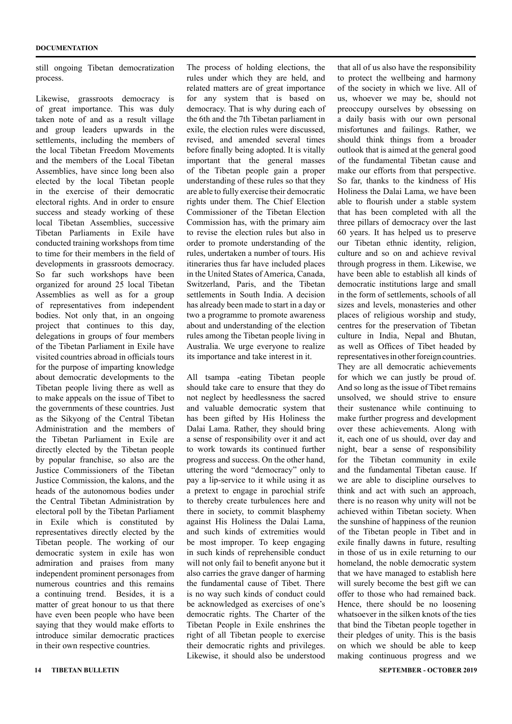still ongoing Tibetan democratization process.

Likewise, grassroots democracy is of great importance. This was duly taken note of and as a result village and group leaders upwards in the settlements, including the members of the local Tibetan Freedom Movements and the members of the Local Tibetan Assemblies, have since long been also elected by the local Tibetan people in the exercise of their democratic electoral rights. And in order to ensure success and steady working of these local Tibetan Assemblies, successive Tibetan Parliaments in Exile have conducted training workshops from time to time for their members in the field of developments in grassroots democracy. So far such workshops have been organized for around 25 local Tibetan Assemblies as well as for a group of representatives from independent bodies. Not only that, in an ongoing project that continues to this day, delegations in groups of four members of the Tibetan Parliament in Exile have visited countries abroad in officials tours for the purpose of imparting knowledge about democratic developments to the Tibetan people living there as well as to make appeals on the issue of Tibet to the governments of these countries. Just as the Sikyong of the Central Tibetan Administration and the members of the Tibetan Parliament in Exile are directly elected by the Tibetan people by popular franchise, so also are the Justice Commissioners of the Tibetan Justice Commission, the kalons, and the heads of the autonomous bodies under the Central Tibetan Administration by electoral poll by the Tibetan Parliament in Exile which is constituted by representatives directly elected by the Tibetan people. The working of our democratic system in exile has won admiration and praises from many independent prominent personages from numerous countries and this remains a continuing trend. Besides, it is a matter of great honour to us that there have even been people who have been saying that they would make efforts to introduce similar democratic practices in their own respective countries.

The process of holding elections, the rules under which they are held, and related matters are of great importance for any system that is based on democracy. That is why during each of the 6th and the 7th Tibetan parliament in exile, the election rules were discussed, revised, and amended several times before finally being adopted. It is vitally important that the general masses of the Tibetan people gain a proper understanding of these rules so that they are able to fully exercise their democratic rights under them. The Chief Election Commissioner of the Tibetan Election Commission has, with the primary aim to revise the election rules but also in order to promote understanding of the rules, undertaken a number of tours. His itineraries thus far have included places in the United States of America, Canada, Switzerland, Paris, and the Tibetan settlements in South India. A decision has already been made to start in a day or two a programme to promote awareness about and understanding of the election rules among the Tibetan people living in Australia. We urge everyone to realize its importance and take interest in it.

All tsampa -eating Tibetan people should take care to ensure that they do not neglect by heedlessness the sacred and valuable democratic system that has been gifted by His Holiness the Dalai Lama. Rather, they should bring a sense of responsibility over it and act to work towards its continued further progress and success. On the other hand, uttering the word "democracy" only to pay a lip-service to it while using it as a pretext to engage in parochial strife to thereby create turbulences here and there in society, to commit blasphemy against His Holiness the Dalai Lama, and such kinds of extremities would be most improper. To keep engaging in such kinds of reprehensible conduct will not only fail to benefit anyone but it also carries the grave danger of harming the fundamental cause of Tibet. There is no way such kinds of conduct could be acknowledged as exercises of one's democratic rights. The Charter of the Tibetan People in Exile enshrines the right of all Tibetan people to exercise their democratic rights and privileges. Likewise, it should also be understood

that all of us also have the responsibility to protect the wellbeing and harmony of the society in which we live. All of us, whoever we may be, should not preoccupy ourselves by obsessing on a daily basis with our own personal misfortunes and failings. Rather, we should think things from a broader outlook that is aimed at the general good of the fundamental Tibetan cause and make our efforts from that perspective. So far, thanks to the kindness of His Holiness the Dalai Lama, we have been able to flourish under a stable system that has been completed with all the three pillars of democracy over the last 60 years. It has helped us to preserve our Tibetan ethnic identity, religion, culture and so on and achieve revival through progress in them. Likewise, we have been able to establish all kinds of democratic institutions large and small in the form of settlements, schools of all sizes and levels, monasteries and other places of religious worship and study, centres for the preservation of Tibetan culture in India, Nepal and Bhutan as well as Offices of Tibet headed by representatives in other foreign countries. They are all democratic achievements for which we can justly be proud of. And so long as the issue of Tibet remains unsolved, we should strive to ensure their sustenance while continuing to make further progress and development over these achievements. Along with it, each one of us should, over day and night, bear a sense of responsibility for the Tibetan community in exile and the fundamental Tibetan cause. If we are able to discipline ourselves to think and act with such an approach, there is no reason why unity will not be achieved within Tibetan society. When the sunshine of happiness of the reunion of the Tibetan people in Tibet and in exile finally dawns in future, resulting in those of us in exile returning to our homeland, the noble democratic system that we have managed to establish here will surely become the best gift we can offer to those who had remained back. Hence, there should be no loosening whatsoever in the silken knots of the ties that bind the Tibetan people together in their pledges of unity. This is the basis on which we should be able to keep making continuous progress and we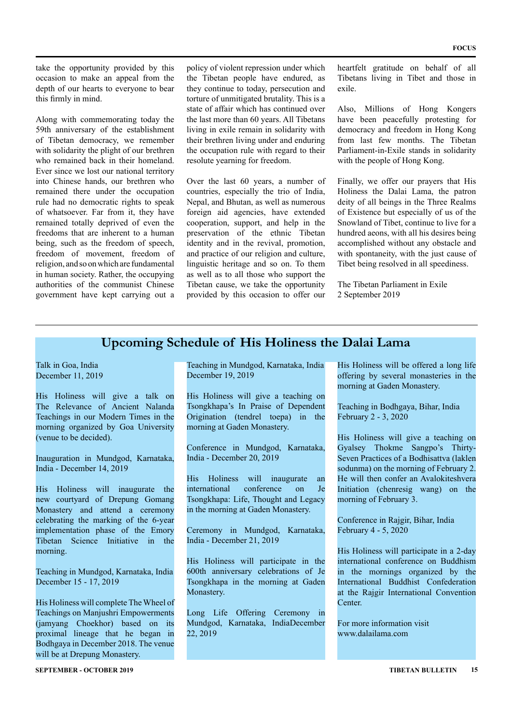take the opportunity provided by this occasion to make an appeal from the depth of our hearts to everyone to bear this firmly in mind.

Along with commemorating today the 59th anniversary of the establishment of Tibetan democracy, we remember with solidarity the plight of our brethren who remained back in their homeland. Ever since we lost our national territory into Chinese hands, our brethren who remained there under the occupation rule had no democratic rights to speak of whatsoever. Far from it, they have remained totally deprived of even the freedoms that are inherent to a human being, such as the freedom of speech, freedom of movement, freedom of religion, and so on which are fundamental in human society. Rather, the occupying authorities of the communist Chinese government have kept carrying out a

policy of violent repression under which the Tibetan people have endured, as they continue to today, persecution and torture of unmitigated brutality. This is a state of affair which has continued over the last more than 60 years. All Tibetans living in exile remain in solidarity with their brethren living under and enduring the occupation rule with regard to their resolute yearning for freedom.

Over the last 60 years, a number of countries, especially the trio of India, Nepal, and Bhutan, as well as numerous foreign aid agencies, have extended cooperation, support, and help in the preservation of the ethnic Tibetan identity and in the revival, promotion, and practice of our religion and culture, linguistic heritage and so on. To them as well as to all those who support the Tibetan cause, we take the opportunity provided by this occasion to offer our heartfelt gratitude on behalf of all Tibetans living in Tibet and those in exile.

Also, Millions of Hong Kongers have been peacefully protesting for democracy and freedom in Hong Kong from last few months. The Tibetan Parliament-in-Exile stands in solidarity with the people of Hong Kong.

Finally, we offer our prayers that His Holiness the Dalai Lama, the patron deity of all beings in the Three Realms of Existence but especially of us of the Snowland of Tibet, continue to live for a hundred aeons, with all his desires being accomplished without any obstacle and with spontaneity, with the just cause of Tibet being resolved in all speediness.

The Tibetan Parliament in Exile 2 September 2019

#### **Upcoming Schedule of His Holiness the Dalai Lama**

Talk in Goa, India December 11, 2019

His Holiness will give a talk on The Relevance of Ancient Nalanda Teachings in our Modern Times in the morning organized by Goa University (venue to be decided).

Inauguration in Mundgod, Karnataka, India - December 14, 2019

His Holiness will inaugurate the new courtyard of Drepung Gomang Monastery and attend a ceremony celebrating the marking of the 6-year implementation phase of the Emory Tibetan Science Initiative in the morning.

Teaching in Mundgod, Karnataka, India December 15 - 17, 2019

His Holiness will complete The Wheel of Teachings on Manjushri Empowerments (jamyang Choekhor) based on its proximal lineage that he began in Bodhgaya in December 2018. The venue will be at Drepung Monastery.

Teaching in Mundgod, Karnataka, India December 19, 2019

His Holiness will give a teaching on Tsongkhapa's In Praise of Dependent Origination (tendrel toepa) in the morning at Gaden Monastery.

Conference in Mundgod, Karnataka, India - December 20, 2019

His Holiness will inaugurate an international conference on Je Tsongkhapa: Life, Thought and Legacy in the morning at Gaden Monastery.

Ceremony in Mundgod, Karnataka, India - December 21, 2019

His Holiness will participate in the 600th anniversary celebrations of Je Tsongkhapa in the morning at Gaden Monastery.

Long Life Offering Ceremony in Mundgod, Karnataka, IndiaDecember 22, 2019

His Holiness will be offered a long life offering by several monasteries in the morning at Gaden Monastery.

Teaching in Bodhgaya, Bihar, India February 2 - 3, 2020

His Holiness will give a teaching on Gyalsey Thokme Sangpo's Thirty-Seven Practices of a Bodhisattva (laklen sodunma) on the morning of February 2. He will then confer an Avalokiteshvera Initiation (chenresig wang) on the morning of February 3.

Conference in Rajgir, Bihar, India February 4 - 5, 2020

His Holiness will participate in a 2-day international conference on Buddhism in the mornings organized by the International Buddhist Confederation at the Rajgir International Convention Center.

For more information visit www.dalailama.com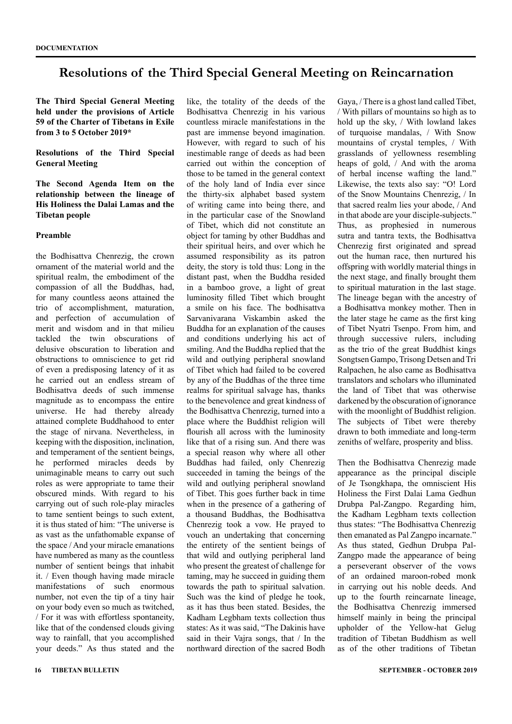### **Resolutions of the Third Special General Meeting on Reincarnation**

**The Third Special General Meeting held under the provisions of Article 59 of the Charter of Tibetans in Exile from 3 to 5 October 2019\***

#### **Resolutions of the Third Special General Meeting**

**The Second Agenda Item on the relationship between the lineage of His Holiness the Dalai Lamas and the Tibetan people**

#### **Preamble**

the Bodhisattva Chenrezig, the crown ornament of the material world and the spiritual realm, the embodiment of the compassion of all the Buddhas, had, for many countless aeons attained the trio of accomplishment, maturation, and perfection of accumulation of merit and wisdom and in that milieu tackled the twin obscurations of delusive obscuration to liberation and obstructions to omniscience to get rid of even a predisposing latency of it as he carried out an endless stream of Bodhisattva deeds of such immense magnitude as to encompass the entire universe. He had thereby already attained complete Buddhahood to enter the stage of nirvana. Nevertheless, in keeping with the disposition, inclination, and temperament of the sentient beings, he performed miracles deeds by unimaginable means to carry out such roles as were appropriate to tame their obscured minds. With regard to his carrying out of such role-play miracles to tame sentient beings to such extent, it is thus stated of him: "The universe is as vast as the unfathomable expanse of the space / And your miracle emanations have numbered as many as the countless number of sentient beings that inhabit it. / Even though having made miracle manifestations of such enormous number, not even the tip of a tiny hair on your body even so much as twitched, / For it was with effortless spontaneity, like that of the condensed clouds giving way to rainfall, that you accomplished your deeds." As thus stated and the like, the totality of the deeds of the Bodhisattva Chenrezig in his various countless miracle manifestations in the past are immense beyond imagination. However, with regard to such of his inestimable range of deeds as had been carried out within the conception of those to be tamed in the general context of the holy land of India ever since the thirty-six alphabet based system of writing came into being there, and in the particular case of the Snowland of Tibet, which did not constitute an object for taming by other Buddhas and their spiritual heirs, and over which he assumed responsibility as its patron deity, the story is told thus: Long in the distant past, when the Buddha resided in a bamboo grove, a light of great luminosity filled Tibet which brought a smile on his face. The bodhisattva Sarvanivarana Viskambin asked the Buddha for an explanation of the causes and conditions underlying his act of smiling. And the Buddha replied that the wild and outlying peripheral snowland of Tibet which had failed to be covered by any of the Buddhas of the three time realms for spiritual salvage has, thanks to the benevolence and great kindness of the Bodhisattva Chenrezig, turned into a place where the Buddhist religion will flourish all across with the luminosity like that of a rising sun. And there was a special reason why where all other Buddhas had failed, only Chenrezig succeeded in taming the beings of the wild and outlying peripheral snowland of Tibet. This goes further back in time when in the presence of a gathering of a thousand Buddhas, the Bodhisattva Chenrezig took a vow. He prayed to vouch an undertaking that concerning the entirety of the sentient beings of that wild and outlying peripheral land who present the greatest of challenge for taming, may he succeed in guiding them towards the path to spiritual salvation. Such was the kind of pledge he took, as it has thus been stated. Besides, the Kadham Legbham texts collection thus states: As it was said, "The Dakinis have said in their Vajra songs, that / In the northward direction of the sacred Bodh

Gaya, / There is a ghost land called Tibet, / With pillars of mountains so high as to hold up the sky, / With lowland lakes of turquoise mandalas, / With Snow mountains of crystal temples, / With grasslands of yellowness resembling heaps of gold, / And with the aroma of herbal incense wafting the land." Likewise, the texts also say: "O! Lord of the Snow Mountains Chenrezig, / In that sacred realm lies your abode, / And in that abode are your disciple-subjects." Thus, as prophesied in numerous sutra and tantra texts, the Bodhisattva Chenrezig first originated and spread out the human race, then nurtured his offspring with worldly material things in the next stage, and finally brought them to spiritual maturation in the last stage. The lineage began with the ancestry of a Bodhisattva monkey mother. Then in the later stage he came as the first king of Tibet Nyatri Tsenpo. From him, and through successive rulers, including as the trio of the great Buddhist kings Songtsen Gampo, Trisong Detsen and Tri Ralpachen, he also came as Bodhisattva translators and scholars who illuminated the land of Tibet that was otherwise darkened by the obscuration of ignorance with the moonlight of Buddhist religion. The subjects of Tibet were thereby drawn to both immediate and long-term zeniths of welfare, prosperity and bliss.

Then the Bodhisattva Chenrezig made appearance as the principal disciple of Je Tsongkhapa, the omniscient His Holiness the First Dalai Lama Gedhun Drubpa Pal-Zangpo. Regarding him, the Kadham Legbham texts collection thus states: "The Bodhisattva Chenrezig then emanated as Pal Zangpo incarnate." As thus stated, Gedhun Drubpa Pal-Zangpo made the appearance of being a perseverant observer of the vows of an ordained maroon-robed monk in carrying out his noble deeds. And up to the fourth reincarnate lineage, the Bodhisattva Chenrezig immersed himself mainly in being the principal upholder of the Yellow-hat Gelug tradition of Tibetan Buddhism as well as of the other traditions of Tibetan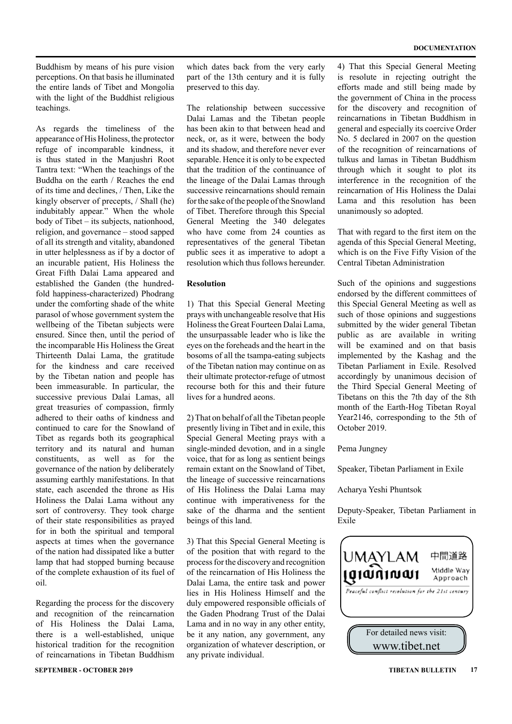Buddhism by means of his pure vision perceptions. On that basis he illuminated the entire lands of Tibet and Mongolia with the light of the Buddhist religious teachings.

As regards the timeliness of the appearance of His Holiness, the protector refuge of incomparable kindness, it is thus stated in the Manjushri Root Tantra text: "When the teachings of the Buddha on the earth / Reaches the end of its time and declines, / Then, Like the kingly observer of precepts, / Shall (he) indubitably appear." When the whole body of Tibet – its subjects, nationhood, religion, and governance – stood sapped of all its strength and vitality, abandoned in utter helplessness as if by a doctor of an incurable patient, His Holiness the Great Fifth Dalai Lama appeared and established the Ganden (the hundredfold happiness-characterized) Phodrang under the comforting shade of the white parasol of whose government system the wellbeing of the Tibetan subjects were ensured. Since then, until the period of the incomparable His Holiness the Great Thirteenth Dalai Lama, the gratitude for the kindness and care received by the Tibetan nation and people has been immeasurable. In particular, the successive previous Dalai Lamas, all great treasuries of compassion, firmly adhered to their oaths of kindness and continued to care for the Snowland of Tibet as regards both its geographical territory and its natural and human constituents, as well as for the governance of the nation by deliberately assuming earthly manifestations. In that state, each ascended the throne as His Holiness the Dalai Lama without any sort of controversy. They took charge of their state responsibilities as prayed for in both the spiritual and temporal aspects at times when the governance of the nation had dissipated like a butter lamp that had stopped burning because of the complete exhaustion of its fuel of oil.

Regarding the process for the discovery and recognition of the reincarnation of His Holiness the Dalai Lama, there is a well-established, unique historical tradition for the recognition of reincarnations in Tibetan Buddhism

**SEPTEMBER - OCTOBER 2019 TIBETAN BULLETIN 17**

which dates back from the very early part of the 13th century and it is fully preserved to this day.

The relationship between successive Dalai Lamas and the Tibetan people has been akin to that between head and neck, or, as it were, between the body and its shadow, and therefore never ever separable. Hence it is only to be expected that the tradition of the continuance of the lineage of the Dalai Lamas through successive reincarnations should remain for the sake of the people of the Snowland of Tibet. Therefore through this Special General Meeting the 340 delegates who have come from 24 counties as representatives of the general Tibetan public sees it as imperative to adopt a resolution which thus follows hereunder.

#### **Resolution**

1) That this Special General Meeting prays with unchangeable resolve that His Holiness the Great Fourteen Dalai Lama, the unsurpassable leader who is like the eyes on the foreheads and the heart in the bosoms of all the tsampa-eating subjects of the Tibetan nation may continue on as their ultimate protector-refuge of utmost recourse both for this and their future lives for a hundred aeons.

2) That on behalf of all the Tibetan people presently living in Tibet and in exile, this Special General Meeting prays with a single-minded devotion, and in a single voice, that for as long as sentient beings remain extant on the Snowland of Tibet, the lineage of successive reincarnations of His Holiness the Dalai Lama may continue with imperativeness for the sake of the dharma and the sentient beings of this land.

3) That this Special General Meeting is of the position that with regard to the process for the discovery and recognition of the reincarnation of His Holiness the Dalai Lama, the entire task and power lies in His Holiness Himself and the duly empowered responsible officials of the Gaden Phodrang Trust of the Dalai Lama and in no way in any other entity, be it any nation, any government, any organization of whatever description, or any private individual.

4) That this Special General Meeting is resolute in rejecting outright the efforts made and still being made by the government of China in the process for the discovery and recognition of reincarnations in Tibetan Buddhism in general and especially its coercive Order No. 5 declared in 2007 on the question of the recognition of reincarnations of tulkus and lamas in Tibetan Buddhism through which it sought to plot its interference in the recognition of the reincarnation of His Holiness the Dalai Lama and this resolution has been unanimously so adopted.

That with regard to the first item on the agenda of this Special General Meeting, which is on the Five Fifty Vision of the Central Tibetan Administration

Such of the opinions and suggestions endorsed by the different committees of this Special General Meeting as well as such of those opinions and suggestions submitted by the wider general Tibetan public as are available in writing will be examined and on that basis implemented by the Kashag and the Tibetan Parliament in Exile. Resolved accordingly by unanimous decision of the Third Special General Meeting of Tibetans on this the 7th day of the 8th month of the Earth-Hog Tibetan Royal Year2146, corresponding to the 5th of October 2019.

Pema Jungney

Speaker, Tibetan Parliament in Exile

Acharya Yeshi Phuntsok

Deputy-Speaker, Tibetan Parliament in Exile

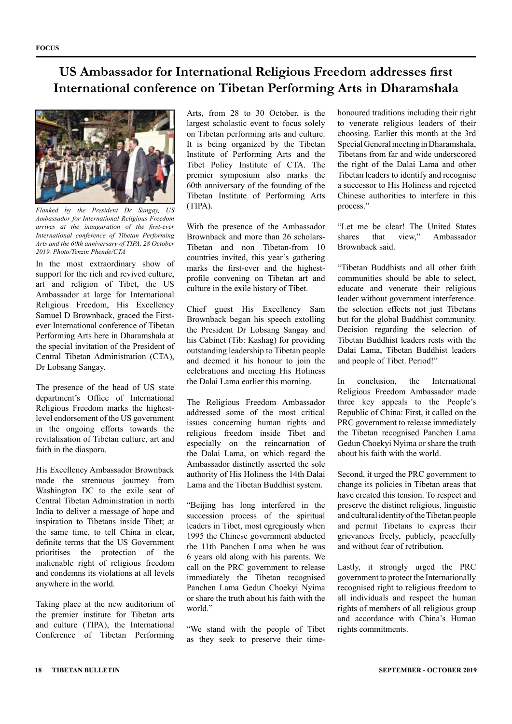### **US Ambassador for International Religious Freedom addresses first International conference on Tibetan Performing Arts in Dharamshala**



*Flanked by the President Dr Sangay, US Ambassador for International Religious Freedom arrives at the inauguration of the first-ever International conference of Tibetan Performing Arts and the 60th anniversary of TIPA, 28 October 2019. Photo/Tenzin Phende/CTA*

In the most extraordinary show of support for the rich and revived culture, art and religion of Tibet, the US Ambassador at large for International Religious Freedom, His Excellency Samuel D Brownback, graced the Firstever International conference of Tibetan Performing Arts here in Dharamshala at the special invitation of the President of Central Tibetan Administration (CTA), Dr Lobsang Sangay.

The presence of the head of US state department's Office of International Religious Freedom marks the highestlevel endorsement of the US government in the ongoing efforts towards the revitalisation of Tibetan culture, art and faith in the diaspora.

His Excellency Ambassador Brownback made the strenuous journey from Washington DC to the exile seat of Central Tibetan Administration in north India to deliver a message of hope and inspiration to Tibetans inside Tibet; at the same time, to tell China in clear, definite terms that the US Government prioritises the protection of the inalienable right of religious freedom and condemns its violations at all levels anywhere in the world.

Taking place at the new auditorium of the premier institute for Tibetan arts and culture (TIPA), the International Conference of Tibetan Performing

Arts, from 28 to 30 October, is the largest scholastic event to focus solely on Tibetan performing arts and culture. It is being organized by the Tibetan Institute of Performing Arts and the Tibet Policy Institute of CTA. The premier symposium also marks the 60th anniversary of the founding of the Tibetan Institute of Performing Arts (TIPA).

With the presence of the Ambassador Brownback and more than 26 scholars-Tibetan and non Tibetan-from 10 countries invited, this year's gathering marks the first-ever and the highestprofile convening on Tibetan art and culture in the exile history of Tibet.

Chief guest His Excellency Sam Brownback began his speech extolling the President Dr Lobsang Sangay and his Cabinet (Tib: Kashag) for providing outstanding leadership to Tibetan people and deemed it his honour to join the celebrations and meeting His Holiness the Dalai Lama earlier this morning.

The Religious Freedom Ambassador addressed some of the most critical issues concerning human rights and religious freedom inside Tibet and especially on the reincarnation of the Dalai Lama, on which regard the Ambassador distinctly asserted the sole authority of His Holiness the 14th Dalai Lama and the Tibetan Buddhist system.

"Beijing has long interfered in the succession process of the spiritual leaders in Tibet, most egregiously when 1995 the Chinese government abducted the 11th Panchen Lama when he was 6 years old along with his parents. We call on the PRC government to release immediately the Tibetan recognised Panchen Lama Gedun Choekyi Nyima or share the truth about his faith with the world."

"We stand with the people of Tibet as they seek to preserve their timehonoured traditions including their right to venerate religious leaders of their choosing. Earlier this month at the 3rd Special General meeting in Dharamshala, Tibetans from far and wide underscored the right of the Dalai Lama and other Tibetan leaders to identify and recognise a successor to His Holiness and rejected Chinese authorities to interfere in this process."

"Let me be clear! The United States shares that view," Ambassador Brownback said.

"Tibetan Buddhists and all other faith communities should be able to select, educate and venerate their religious leader without government interference. the selection effects not just Tibetans but for the global Buddhist community. Decision regarding the selection of Tibetan Buddhist leaders rests with the Dalai Lama, Tibetan Buddhist leaders and people of Tibet. Period!"

In conclusion, the International Religious Freedom Ambassador made three key appeals to the People's Republic of China: First, it called on the PRC government to release immediately the Tibetan recognised Panchen Lama Gedun Choekyi Nyima or share the truth about his faith with the world.

Second, it urged the PRC government to change its policies in Tibetan areas that have created this tension. To respect and preserve the distinct religious, linguistic and cultural identity of the Tibetan people and permit Tibetans to express their grievances freely, publicly, peacefully and without fear of retribution.

Lastly, it strongly urged the PRC government to protect the Internationally recognised right to religious freedom to all individuals and respect the human rights of members of all religious group and accordance with China's Human rights commitments.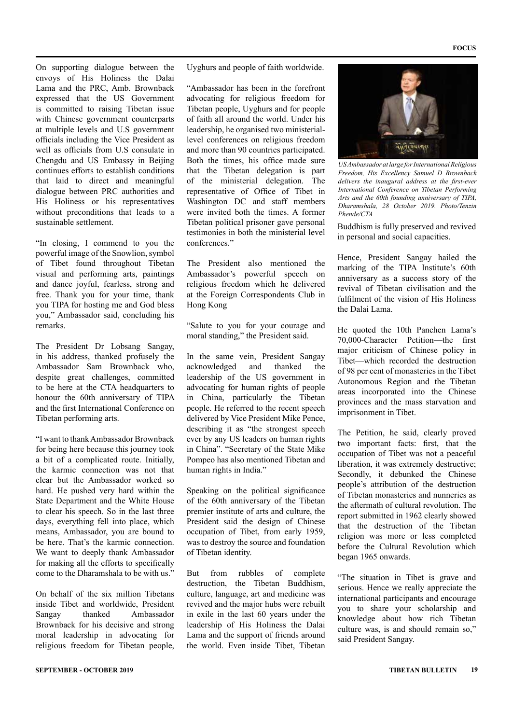On supporting dialogue between the envoys of His Holiness the Dalai Lama and the PRC, Amb. Brownback expressed that the US Government is committed to raising Tibetan issue with Chinese government counterparts at multiple levels and U.S government officials including the Vice President as well as officials from U.S consulate in Chengdu and US Embassy in Beijing continues efforts to establish conditions that laid to direct and meaningful dialogue between PRC authorities and His Holiness or his representatives without preconditions that leads to a sustainable settlement.

"In closing, I commend to you the powerful image of the Snowlion, symbol of Tibet found throughout Tibetan visual and performing arts, paintings and dance joyful, fearless, strong and free. Thank you for your time, thank you TIPA for hosting me and God bless you," Ambassador said, concluding his remarks.

The President Dr Lobsang Sangay, in his address, thanked profusely the Ambassador Sam Brownback who, despite great challenges, committed to be here at the CTA headquarters to honour the 60th anniversary of TIPA and the first International Conference on Tibetan performing arts.

"I want to thank Ambassador Brownback for being here because this journey took a bit of a complicated route. Initially, the karmic connection was not that clear but the Ambassador worked so hard. He pushed very hard within the State Department and the White House to clear his speech. So in the last three days, everything fell into place, which means, Ambassador, you are bound to be here. That's the karmic connection. We want to deeply thank Ambassador for making all the efforts to specifically come to the Dharamshala to be with us."

On behalf of the six million Tibetans inside Tibet and worldwide, President Sangay thanked Ambassador Brownback for his decisive and strong moral leadership in advocating for religious freedom for Tibetan people, Uyghurs and people of faith worldwide.

"Ambassador has been in the forefront advocating for religious freedom for Tibetan people, Uyghurs and for people of faith all around the world. Under his leadership, he organised two ministeriallevel conferences on religious freedom and more than 90 countries participated. Both the times, his office made sure that the Tibetan delegation is part of the ministerial delegation. The representative of Office of Tibet in Washington DC and staff members were invited both the times. A former Tibetan political prisoner gave personal testimonies in both the ministerial level conferences."

The President also mentioned the Ambassador's powerful speech on religious freedom which he delivered at the Foreign Correspondents Club in Hong Kong

"Salute to you for your courage and moral standing," the President said.

In the same vein, President Sangay acknowledged and thanked the leadership of the US government in advocating for human rights of people in China, particularly the Tibetan people. He referred to the recent speech delivered by Vice President Mike Pence, describing it as "the strongest speech ever by any US leaders on human rights in China". "Secretary of the State Mike Pompeo has also mentioned Tibetan and human rights in India."

Speaking on the political significance of the 60th anniversary of the Tibetan premier institute of arts and culture, the President said the design of Chinese occupation of Tibet, from early 1959, was to destroy the source and foundation of Tibetan identity.

But from rubbles of complete destruction, the Tibetan Buddhism, culture, language, art and medicine was revived and the major hubs were rebuilt in exile in the last 60 years under the leadership of His Holiness the Dalai Lama and the support of friends around the world. Even inside Tibet, Tibetan



*US Ambassador at large for International Religious Freedom, His Excellency Samuel D Brownback delivers the inaugural address at the first-ever International Conference on Tibetan Performing Arts and the 60th founding anniversary of TIPA, Dharamshala, 28 October 2019. Photo/Tenzin Phende/CTA*

Buddhism is fully preserved and revived in personal and social capacities.

Hence, President Sangay hailed the marking of the TIPA Institute's 60th anniversary as a success story of the revival of Tibetan civilisation and the fulfilment of the vision of His Holiness the Dalai Lama.

He quoted the 10th Panchen Lama's 70,000-Character Petition—the first major criticism of Chinese policy in Tibet—which recorded the destruction of 98 per cent of monasteries in the Tibet Autonomous Region and the Tibetan areas incorporated into the Chinese provinces and the mass starvation and imprisonment in Tibet.

The Petition, he said, clearly proved two important facts: first, that the occupation of Tibet was not a peaceful liberation, it was extremely destructive; Secondly, it debunked the Chinese people's attribution of the destruction of Tibetan monasteries and nunneries as the aftermath of cultural revolution. The report submitted in 1962 clearly showed that the destruction of the Tibetan religion was more or less completed before the Cultural Revolution which began 1965 onwards.

"The situation in Tibet is grave and serious. Hence we really appreciate the international participants and encourage you to share your scholarship and knowledge about how rich Tibetan culture was, is and should remain so," said President Sangay.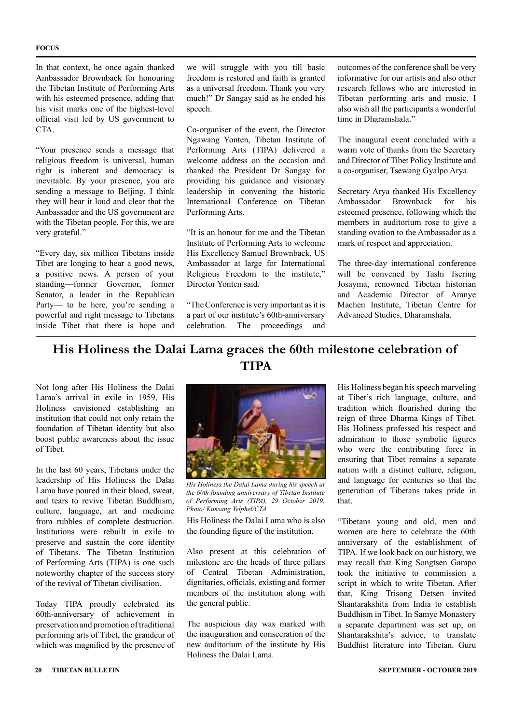#### **FOCUS**

In that context, he once again thanked Ambassador Brownback for honouring the Tibetan Institute of Performing Arts with his esteemed presence, adding that his visit marks one of the highest-level official visit led by US government to CTA.

"Your presence sends a message that religious freedom is universal, human right is inherent and democracy is inevitable. By your presence, you are sending a message to Beijing. I think they will hear it loud and clear that the Ambassador and the US government are with the Tibetan people. For this, we are very grateful."

"Every day, six million Tibetans inside Tibet are longing to hear a good news, a positive news. A person of your standing—former Governor, former Senator, a leader in the Republican Party— to be here, you're sending a powerful and right message to Tibetans inside Tibet that there is hope and

we will struggle with you till basic freedom is restored and faith is granted as a universal freedom. Thank you very much!" Dr Sangay said as he ended his speech.

Co-organiser of the event, the Director Ngawang Yonten, Tibetan Institute of Performing Arts (TIPA) delivered a welcome address on the occasion and thanked the President Dr Sangay for providing his guidance and visionary leadership in convening the historic International Conference on Tibetan Performing Arts.

"It is an honour for me and the Tibetan Institute of Performing Arts to welcome His Excellency Samuel Brownback, US Ambassador at large for International Religious Freedom to the institute," Director Yonten said.

"The Conference is very important as it is a part of our institute's 60th-anniversary celebration. The proceedings and

outcomes of the conference shall be very informative for our artists and also other research fellows who are interested in Tibetan performing arts and music. I also wish all the participants a wonderful time in Dharamshala."

The inaugural event concluded with a warm vote of thanks from the Secretary and Director of Tibet Policy Institute and a co-organiser, Tsewang Gyalpo Arya.

Secretary Arya thanked His Excellency Ambassador Brownback for his esteemed presence, following which the members in auditorium rose to give a standing ovation to the Ambassador as a mark of respect and appreciation.

The three-day international conference will be convened by Tashi Tsering Josayma, renowned Tibetan historian and Academic Director of Amnye Machen Institute, Tibetan Centre for Advanced Studies, Dharamshala.

### **His Holiness the Dalai Lama graces the 60th milestone celebration of TIPA**

Not long after His Holiness the Dalai Lama's arrival in exile in 1959, His Holiness envisioned establishing an institution that could not only retain the foundation of Tibetan identity but also boost public awareness about the issue of Tibet.

In the last 60 years, Tibetans under the leadership of His Holiness the Dalai Lama have poured in their blood, sweat, and tears to revive Tibetan Buddhism, culture, language, art and medicine from rubbles of complete destruction. Institutions were rebuilt in exile to preserve and sustain the core identity of Tibetans. The Tibetan Institution of Performing Arts (TIPA) is one such noteworthy chapter of the success story of the revival of Tibetan civilisation.

Today TIPA proudly celebrated its 60th-anniversary of achievement in preservation and promotion of traditional performing arts of Tibet, the grandeur of which was magnified by the presence of



*His Holiness the Dalai Lama during his speech at the 60th founding anniversary of Tibetan Institute of Performing Arts (TIPA), 29 October 2019. Photo/ Kunsang Yelphel/CTA*

His Holiness the Dalai Lama who is also the founding figure of the institution.

Also present at this celebration of milestone are the heads of three pillars of Central Tibetan Administration, dignitaries, officials, existing and former members of the institution along with the general public.

The auspicious day was marked with the inauguration and consecration of the new auditorium of the institute by His Holiness the Dalai Lama.

His Holiness began his speech marveling at Tibet's rich language, culture, and tradition which flourished during the reign of three Dharma Kings of Tibet. His Holiness professed his respect and admiration to those symbolic figures who were the contributing force in ensuring that Tibet remains a separate nation with a distinct culture, religion, and language for centuries so that the generation of Tibetans takes pride in that.

"Tibetans young and old, men and women are here to celebrate the 60th anniversary of the establishment of TIPA. If we look back on our history, we may recall that King Songtsen Gampo took the initiative to commission a script in which to write Tibetan. After that, King Trisong Detsen invited Shantarakshita from India to establish Buddhism in Tibet. In Samye Monastery a separate department was set up, on Shantarakshita's advice, to translate Buddhist literature into Tibetan. Guru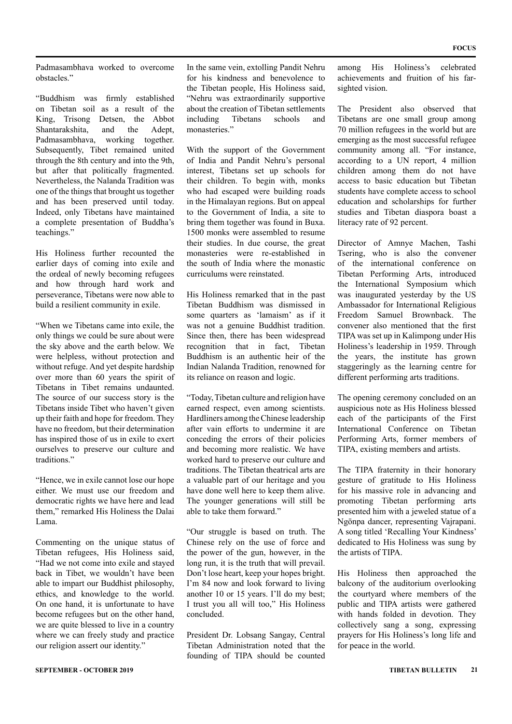Padmasambhava worked to overcome obstacles."

"Buddhism was firmly established on Tibetan soil as a result of the King, Trisong Detsen, the Abbot Shantarakshita, and the Adept, Padmasambhava, working together. Subsequently, Tibet remained united through the 8th century and into the 9th, but after that politically fragmented. Nevertheless, the Nalanda Tradition was one of the things that brought us together and has been preserved until today. Indeed, only Tibetans have maintained a complete presentation of Buddha's teachings."

His Holiness further recounted the earlier days of coming into exile and the ordeal of newly becoming refugees and how through hard work and perseverance, Tibetans were now able to build a resilient community in exile.

"When we Tibetans came into exile, the only things we could be sure about were the sky above and the earth below. We were helpless, without protection and without refuge. And yet despite hardship over more than 60 years the spirit of Tibetans in Tibet remains undaunted. The source of our success story is the Tibetans inside Tibet who haven't given up their faith and hope for freedom. They have no freedom, but their determination has inspired those of us in exile to exert ourselves to preserve our culture and traditions<sup></sup>

"Hence, we in exile cannot lose our hope either. We must use our freedom and democratic rights we have here and lead them," remarked His Holiness the Dalai Lama.

Commenting on the unique status of Tibetan refugees, His Holiness said, "Had we not come into exile and stayed back in Tibet, we wouldn't have been able to impart our Buddhist philosophy, ethics, and knowledge to the world. On one hand, it is unfortunate to have become refugees but on the other hand, we are quite blessed to live in a country where we can freely study and practice our religion assert our identity."

In the same vein, extolling Pandit Nehru for his kindness and benevolence to the Tibetan people, His Holiness said, "Nehru was extraordinarily supportive about the creation of Tibetan settlements including Tibetans schools and monasteries."

With the support of the Government of India and Pandit Nehru's personal interest, Tibetans set up schools for their children. To begin with, monks who had escaped were building roads in the Himalayan regions. But on appeal to the Government of India, a site to bring them together was found in Buxa. 1500 monks were assembled to resume their studies. In due course, the great monasteries were re-established in the south of India where the monastic curriculums were reinstated.

His Holiness remarked that in the past Tibetan Buddhism was dismissed in some quarters as 'lamaism' as if it was not a genuine Buddhist tradition. Since then, there has been widespread recognition that in fact Tibetan Buddhism is an authentic heir of the Indian Nalanda Tradition, renowned for its reliance on reason and logic.

"Today, Tibetan culture and religion have earned respect, even among scientists. Hardliners among the Chinese leadership after vain efforts to undermine it are conceding the errors of their policies and becoming more realistic. We have worked hard to preserve our culture and traditions. The Tibetan theatrical arts are a valuable part of our heritage and you have done well here to keep them alive. The younger generations will still be able to take them forward."

"Our struggle is based on truth. The Chinese rely on the use of force and the power of the gun, however, in the long run, it is the truth that will prevail. Don't lose heart, keep your hopes bright. I'm 84 now and look forward to living another 10 or 15 years. I'll do my best; I trust you all will too," His Holiness concluded.

President Dr. Lobsang Sangay, Central Tibetan Administration noted that the founding of TIPA should be counted

among His Holiness's celebrated achievements and fruition of his farsighted vision.

The President also observed that Tibetans are one small group among 70 million refugees in the world but are emerging as the most successful refugee community among all. "For instance, according to a UN report, 4 million children among them do not have access to basic education but Tibetan students have complete access to school education and scholarships for further studies and Tibetan diaspora boast a literacy rate of 92 percent.

Director of Amnye Machen, Tashi Tsering, who is also the convener of the international conference on Tibetan Performing Arts, introduced the International Symposium which was inaugurated yesterday by the US Ambassador for International Religious Freedom Samuel Brownback. The convener also mentioned that the first TIPA was set up in Kalimpong under His Holiness's leadership in 1959. Through the years, the institute has grown staggeringly as the learning centre for different performing arts traditions.

The opening ceremony concluded on an auspicious note as His Holiness blessed each of the participants of the First International Conference on Tibetan Performing Arts, former members of TIPA, existing members and artists.

The TIPA fraternity in their honorary gesture of gratitude to His Holiness for his massive role in advancing and promoting Tibetan performing arts presented him with a jeweled statue of a Ngönpa dancer, representing Vajrapani. A song titled 'Recalling Your Kindness' dedicated to His Holiness was sung by the artists of TIPA.

His Holiness then approached the balcony of the auditorium overlooking the courtyard where members of the public and TIPA artists were gathered with hands folded in devotion. They collectively sang a song, expressing prayers for His Holiness's long life and for peace in the world.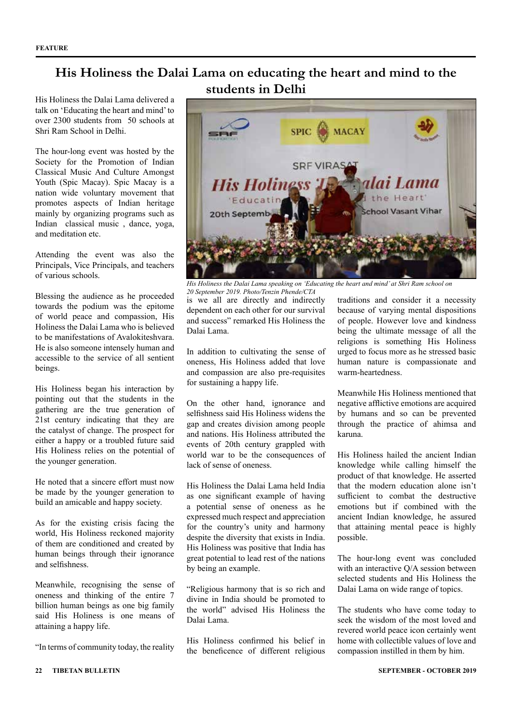### **His Holiness the Dalai Lama on educating the heart and mind to the students in Delhi**

His Holiness the Dalai Lama delivered a talk on 'Educating the heart and mind' to over 2300 students from 50 schools at Shri Ram School in Delhi.

The hour-long event was hosted by the Society for the Promotion of Indian Classical Music And Culture Amongst Youth (Spic Macay). Spic Macay is a nation wide voluntary movement that promotes aspects of Indian heritage mainly by organizing programs such as Indian classical music , dance, yoga, and meditation etc.

Attending the event was also the Principals, Vice Principals, and teachers of various schools.

Blessing the audience as he proceeded towards the podium was the epitome of world peace and compassion, His Holiness the Dalai Lama who is believed to be manifestations of Avalokiteshvara. He is also someone intensely human and accessible to the service of all sentient beings.

His Holiness began his interaction by pointing out that the students in the gathering are the true generation of 21st century indicating that they are the catalyst of change. The prospect for either a happy or a troubled future said His Holiness relies on the potential of the younger generation.

He noted that a sincere effort must now be made by the younger generation to build an amicable and happy society.

As for the existing crisis facing the world, His Holiness reckoned majority of them are conditioned and created by human beings through their ignorance and selfishness.

Meanwhile, recognising the sense of oneness and thinking of the entire 7 billion human beings as one big family said His Holiness is one means of attaining a happy life.

"In terms of community today, the reality





*His Holiness the Dalai Lama speaking on 'Educating the heart and mind' at Shri Ram school on* 

*20 September 2019. Photo/Tenzin Phende/CTA* is we all are directly and indirectly dependent on each other for our survival and success" remarked His Holiness the Dalai Lama.

In addition to cultivating the sense of oneness, His Holiness added that love and compassion are also pre-requisites for sustaining a happy life.

On the other hand, ignorance and selfishness said His Holiness widens the gap and creates division among people and nations. His Holiness attributed the events of 20th century grappled with world war to be the consequences of lack of sense of oneness.

His Holiness the Dalai Lama held India as one significant example of having a potential sense of oneness as he expressed much respect and appreciation for the country's unity and harmony despite the diversity that exists in India. His Holiness was positive that India has great potential to lead rest of the nations by being an example.

"Religious harmony that is so rich and divine in India should be promoted to the world" advised His Holiness the Dalai Lama.

His Holiness confirmed his belief in the beneficence of different religious traditions and consider it a necessity because of varying mental dispositions of people. However love and kindness being the ultimate message of all the religions is something His Holiness urged to focus more as he stressed basic human nature is compassionate and warm-heartedness.

Meanwhile His Holiness mentioned that negative afflictive emotions are acquired by humans and so can be prevented through the practice of ahimsa and karuna.

His Holiness hailed the ancient Indian knowledge while calling himself the product of that knowledge. He asserted that the modern education alone isn't sufficient to combat the destructive emotions but if combined with the ancient Indian knowledge, he assured that attaining mental peace is highly possible.

The hour-long event was concluded with an interactive Q/A session between selected students and His Holiness the Dalai Lama on wide range of topics.

The students who have come today to seek the wisdom of the most loved and revered world peace icon certainly went home with collectible values of love and compassion instilled in them by him.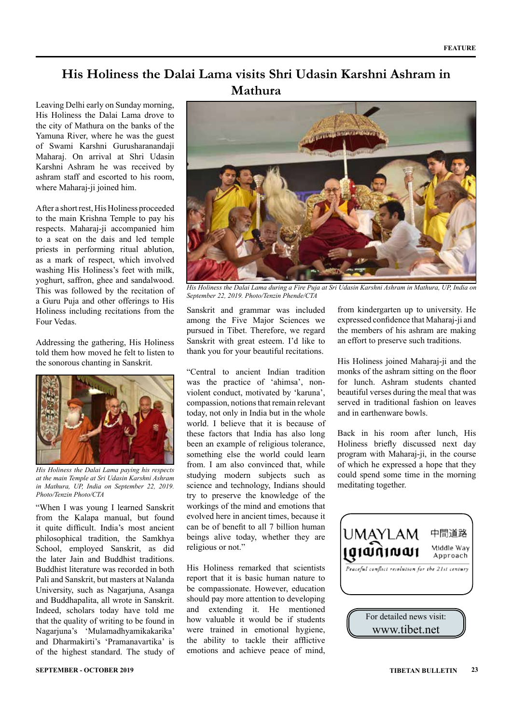### **His Holiness the Dalai Lama visits Shri Udasin Karshni Ashram in Mathura**

Leaving Delhi early on Sunday morning, His Holiness the Dalai Lama drove to the city of Mathura on the banks of the Yamuna River, where he was the guest of Swami Karshni Gurusharanandaji Maharaj. On arrival at Shri Udasin Karshni Ashram he was received by ashram staff and escorted to his room, where Maharaj-ji joined him.

After a short rest, His Holiness proceeded to the main Krishna Temple to pay his respects. Maharaj-ji accompanied him to a seat on the dais and led temple priests in performing ritual ablution, as a mark of respect, which involved washing His Holiness's feet with milk, yoghurt, saffron, ghee and sandalwood. This was followed by the recitation of a Guru Puja and other offerings to His Holiness including recitations from the Four Vedas.

Addressing the gathering, His Holiness told them how moved he felt to listen to the sonorous chanting in Sanskrit.



*His Holiness the Dalai Lama paying his respects at the main Temple at Sri Udasin Karshni Ashram in Mathura, UP, India on September 22, 2019. Photo/Tenzin Photo/CTA*

"When I was young I learned Sanskrit from the Kalapa manual, but found it quite difficult. India's most ancient philosophical tradition, the Samkhya School, employed Sanskrit, as did the later Jain and Buddhist traditions. Buddhist literature was recorded in both Pali and Sanskrit, but masters at Nalanda University, such as Nagarjuna, Asanga and Buddhapalita, all wrote in Sanskrit. Indeed, scholars today have told me that the quality of writing to be found in Nagarjuna's 'Mulamadhyamikakarika' and Dharmakirti's 'Pramanavartika' is of the highest standard. The study of



*His Holiness the Dalai Lama during a Fire Puja at Sri Udasin Karshni Ashram in Mathura, UP, India on September 22, 2019. Photo/Tenzin Phende/CTA*

Sanskrit and grammar was included among the Five Major Sciences we pursued in Tibet. Therefore, we regard Sanskrit with great esteem. I'd like to thank you for your beautiful recitations.

"Central to ancient Indian tradition was the practice of 'ahimsa', nonviolent conduct, motivated by 'karuna', compassion, notions that remain relevant today, not only in India but in the whole world. I believe that it is because of these factors that India has also long been an example of religious tolerance, something else the world could learn from. I am also convinced that, while studying modern subjects such as science and technology, Indians should try to preserve the knowledge of the workings of the mind and emotions that evolved here in ancient times, because it can be of benefit to all 7 billion human beings alive today, whether they are religious or not."

His Holiness remarked that scientists report that it is basic human nature to be compassionate. However, education should pay more attention to developing and extending it. He mentioned how valuable it would be if students were trained in emotional hygiene, the ability to tackle their afflictive emotions and achieve peace of mind,

from kindergarten up to university. He expressed confidence that Maharaj-ji and the members of his ashram are making an effort to preserve such traditions.

His Holiness joined Maharaj-ji and the monks of the ashram sitting on the floor for lunch. Ashram students chanted beautiful verses during the meal that was served in traditional fashion on leaves and in earthenware bowls.

Back in his room after lunch, His Holiness briefly discussed next day program with Maharaj-ji, in the course of which he expressed a hope that they could spend some time in the morning meditating together.

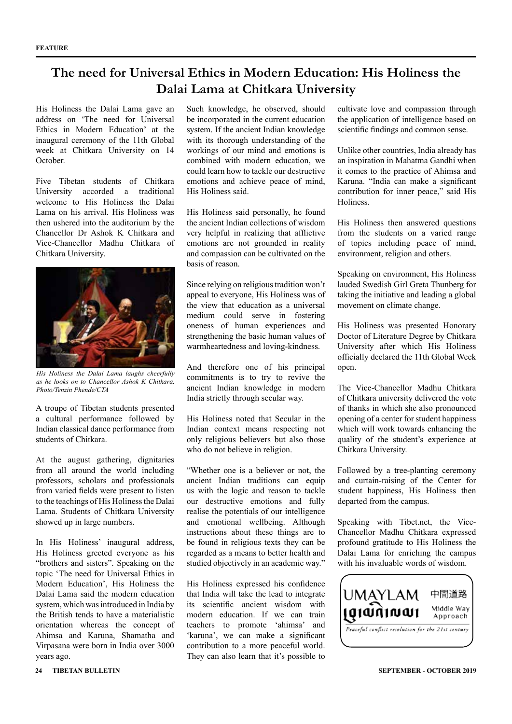### **The need for Universal Ethics in Modern Education: His Holiness the Dalai Lama at Chitkara University**

His Holiness the Dalai Lama gave an address on 'The need for Universal Ethics in Modern Education' at the inaugural ceremony of the 11th Global week at Chitkara University on 14 October.

Five Tibetan students of Chitkara University accorded a traditional welcome to His Holiness the Dalai Lama on his arrival. His Holiness was then ushered into the auditorium by the Chancellor Dr Ashok K Chitkara and Vice-Chancellor Madhu Chitkara of Chitkara University.



*His Holiness the Dalai Lama laughs cheerfully as he looks on to Chancellor Ashok K Chitkara. Photo/Tenzin Phende/CTA*

A troupe of Tibetan students presented a cultural performance followed by Indian classical dance performance from students of Chitkara.

At the august gathering, dignitaries from all around the world including professors, scholars and professionals from varied fields were present to listen to the teachings of His Holiness the Dalai Lama. Students of Chitkara University showed up in large numbers.

In His Holiness' inaugural address, His Holiness greeted everyone as his "brothers and sisters". Speaking on the topic 'The need for Universal Ethics in Modern Education', His Holiness the Dalai Lama said the modern education system, which was introduced in India by the British tends to have a materialistic orientation whereas the concept of Ahimsa and Karuna, Shamatha and Virpasana were born in India over 3000 years ago.

Such knowledge, he observed, should be incorporated in the current education system. If the ancient Indian knowledge with its thorough understanding of the workings of our mind and emotions is combined with modern education, we could learn how to tackle our destructive emotions and achieve peace of mind, His Holiness said.

His Holiness said personally, he found the ancient Indian collections of wisdom very helpful in realizing that afflictive emotions are not grounded in reality and compassion can be cultivated on the basis of reason.

Since relying on religious tradition won't appeal to everyone, His Holiness was of the view that education as a universal medium could serve in fostering oneness of human experiences and strengthening the basic human values of warmheartedness and loving-kindness.

And therefore one of his principal commitments is to try to revive the ancient Indian knowledge in modern India strictly through secular way.

His Holiness noted that Secular in the Indian context means respecting not only religious believers but also those who do not believe in religion.

"Whether one is a believer or not, the ancient Indian traditions can equip us with the logic and reason to tackle our destructive emotions and fully realise the potentials of our intelligence and emotional wellbeing. Although instructions about these things are to be found in religious texts they can be regarded as a means to better health and studied objectively in an academic way."

His Holiness expressed his confidence that India will take the lead to integrate its scientific ancient wisdom with modern education. If we can train teachers to promote 'ahimsa' and 'karuna', we can make a significant contribution to a more peaceful world. They can also learn that it's possible to

cultivate love and compassion through the application of intelligence based on scientific findings and common sense.

Unlike other countries, India already has an inspiration in Mahatma Gandhi when it comes to the practice of Ahimsa and Karuna. "India can make a significant contribution for inner peace," said His Holiness.

His Holiness then answered questions from the students on a varied range of topics including peace of mind, environment, religion and others.

Speaking on environment, His Holiness lauded Swedish Girl Greta Thunberg for taking the initiative and leading a global movement on climate change.

His Holiness was presented Honorary Doctor of Literature Degree by Chitkara University after which His Holiness officially declared the 11th Global Week open.

The Vice-Chancellor Madhu Chitkara of Chitkara university delivered the vote of thanks in which she also pronounced opening of a center for student happiness which will work towards enhancing the quality of the student's experience at Chitkara University.

Followed by a tree-planting ceremony and curtain-raising of the Center for student happiness, His Holiness then departed from the campus.

Speaking with Tibet.net, the Vice-Chancellor Madhu Chitkara expressed profound gratitude to His Holiness the Dalai Lama for enriching the campus with his invaluable words of wisdom.

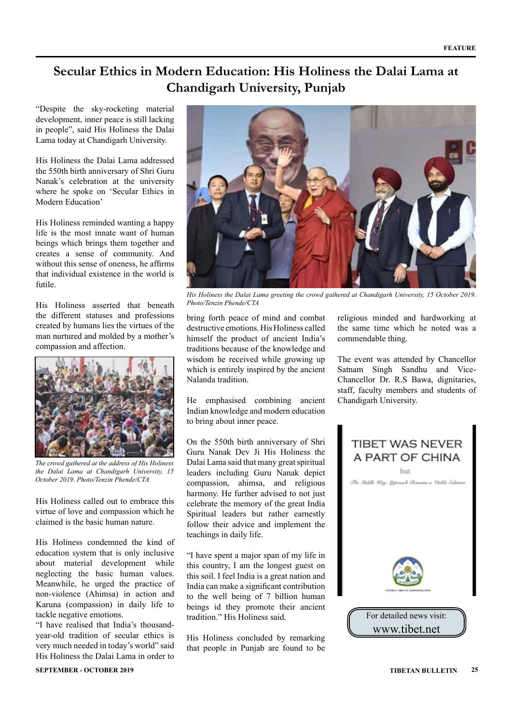### **Secular Ethics in Modern Education: His Holiness the Dalai Lama at Chandigarh University, Punjab**

"Despite the sky-rocketing material development, inner peace is still lacking in people", said His Holiness the Dalai Lama today at Chandigarh University.

His Holiness the Dalai Lama addressed the 550th birth anniversary of Shri Guru Nanak's celebration at the university where he spoke on 'Secular Ethics in Modern Education'

His Holiness reminded wanting a happy life is the most innate want of human beings which brings them together and creates a sense of community. And without this sense of oneness, he affirms that individual existence in the world is futile.

His Holiness asserted that beneath the different statuses and professions created by humans lies the virtues of the man nurtured and molded by a mother's compassion and affection.



*The crowd gathered at the address of His Holiness the Dalai Lama at Chandigarh University, 15 October 2019. Photo/Tenzin Phende/CTA*

His Holiness called out to embrace this virtue of love and compassion which he claimed is the basic human nature.

His Holiness condemned the kind of education system that is only inclusive about material development while neglecting the basic human values. Meanwhile, he urged the practice of non-violence (Ahimsa) in action and Karuna (compassion) in daily life to tackle negative emotions.

"I have realised that India's thousandyear-old tradition of secular ethics is very much needed in today's world" said His Holiness the Dalai Lama in order to



*His Holiness the Dalai Lama greeting the crowd gathered at Chandigarh University, 15 October 2019. Photo/Tenzin Phende/CTA*

bring forth peace of mind and combat destructive emotions. His Holiness called himself the product of ancient India's traditions because of the knowledge and wisdom he received while growing up which is entirely inspired by the ancient Nalanda tradition.

He emphasised combining ancient Indian knowledge and modern education to bring about inner peace.

On the 550th birth anniversary of Shri Guru Nanak Dev Ji His Holiness the Dalai Lama said that many great spiritual leaders including Guru Nanak depict compassion, ahimsa, and religious harmony. He further advised to not just celebrate the memory of the great India Spiritual leaders but rather earnestly follow their advice and implement the teachings in daily life.

"I have spent a major span of my life in this country, I am the longest guest on this soil. I feel India is a great nation and India can make a significant contribution to the well being of 7 billion human beings id they promote their ancient tradition." His Holiness said.

His Holiness concluded by remarking that people in Punjab are found to be religious minded and hardworking at the same time which he noted was a commendable thing.

The event was attended by Chancellor Satnam Singh Sandhu and Vice-Chancellor Dr. R.S Bawa, dignitaries, staff, faculty members and students of Chandigarh University.

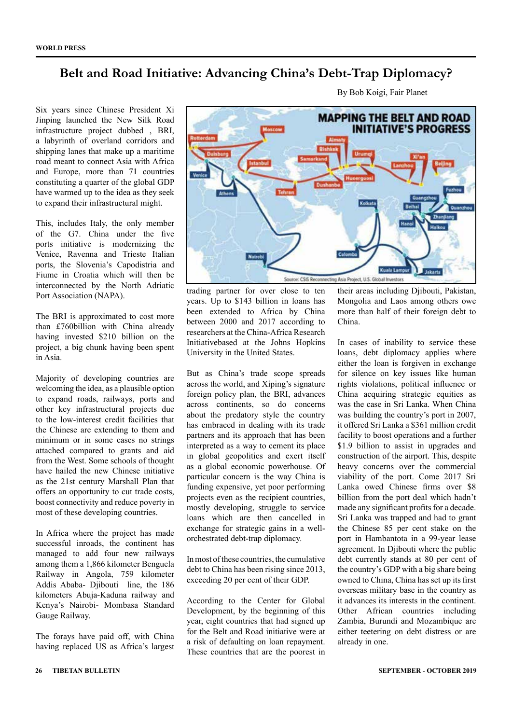### **Belt and Road Initiative: Advancing China's Debt-Trap Diplomacy?**

Six years since Chinese President Xi Jinping launched the New Silk Road infrastructure project dubbed , BRI, a labyrinth of overland corridors and shipping lanes that make up a maritime road meant to connect Asia with Africa and Europe, more than 71 countries constituting a quarter of the global GDP have warmed up to the idea as they seek to expand their infrastructural might.

This, includes Italy, the only member of the G7. China under the five ports initiative is modernizing the Venice, Ravenna and Trieste Italian ports, the Slovenia's Capodistria and Fiume in Croatia which will then be interconnected by the North Adriatic Port Association (NAPA).

The BRI is approximated to cost more than £760billion with China already having invested \$210 billion on the project, a big chunk having been spent in Asia.

Majority of developing countries are welcoming the idea, as a plausible option to expand roads, railways, ports and other key infrastructural projects due to the low-interest credit facilities that the Chinese are extending to them and minimum or in some cases no strings attached compared to grants and aid from the West. Some schools of thought have hailed the new Chinese initiative as the 21st century Marshall Plan that offers an opportunity to cut trade costs, boost connectivity and reduce poverty in most of these developing countries.

In Africa where the project has made successful inroads, the continent has managed to add four new railways among them a 1,866 kilometer Benguela Railway in Angola, 759 kilometer Addis Ababa- Djibouti line, the 186 kilometers Abuja-Kaduna railway and Kenya's Nairobi- Mombasa Standard Gauge Railway.

The forays have paid off, with China having replaced US as Africa's largest



By Bob Koigi, Fair Planet

trading partner for over close to ten years. Up to \$143 billion in loans has been extended to Africa by China between 2000 and 2017 according to researchers at the China-Africa Research Initiativebased at the Johns Hopkins University in the United States.

But as China's trade scope spreads across the world, and Xiping's signature foreign policy plan, the BRI, advances across continents, so do concerns about the predatory style the country has embraced in dealing with its trade partners and its approach that has been interpreted as a way to cement its place in global geopolitics and exert itself as a global economic powerhouse. Of particular concern is the way China is funding expensive, yet poor performing projects even as the recipient countries, mostly developing, struggle to service loans which are then cancelled in exchange for strategic gains in a wellorchestrated debt-trap diplomacy.

In most of these countries, the cumulative debt to China has been rising since 2013, exceeding 20 per cent of their GDP.

According to the Center for Global Development, by the beginning of this year, eight countries that had signed up for the Belt and Road initiative were at a risk of defaulting on loan repayment. These countries that are the poorest in

their areas including Djibouti, Pakistan, Mongolia and Laos among others owe more than half of their foreign debt to China.

In cases of inability to service these loans, debt diplomacy applies where either the loan is forgiven in exchange for silence on key issues like human rights violations, political influence or China acquiring strategic equities as was the case in Sri Lanka. When China was building the country's port in 2007, it offered Sri Lanka a \$361 million credit facility to boost operations and a further \$1.9 billion to assist in upgrades and construction of the airport. This, despite heavy concerns over the commercial viability of the port. Come 2017 Sri Lanka owed Chinese firms over \$8 billion from the port deal which hadn't made any significant profits for a decade. Sri Lanka was trapped and had to grant the Chinese 85 per cent stake on the port in Hambantota in a 99-year lease agreement. In Djibouti where the public debt currently stands at 80 per cent of the country's GDP with a big share being owned to China, China has set up its first overseas military base in the country as it advances its interests in the continent. Other African countries including Zambia, Burundi and Mozambique are either teetering on debt distress or are already in one.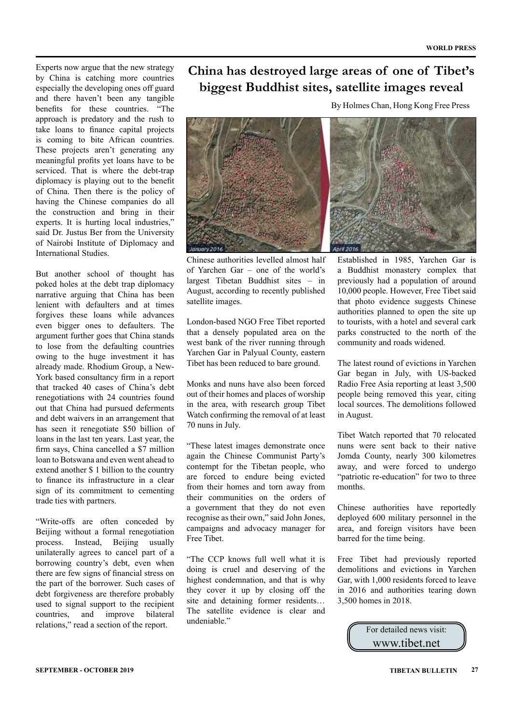Experts now argue that the new strategy by China is catching more countries especially the developing ones off guard and there haven't been any tangible benefits for these countries. "The approach is predatory and the rush to take loans to finance capital projects is coming to bite African countries. These projects aren't generating any meaningful profits yet loans have to be serviced. That is where the debt-trap diplomacy is playing out to the benefit of China. Then there is the policy of having the Chinese companies do all the construction and bring in their experts. It is hurting local industries," said Dr. Justus Ber from the University of Nairobi Institute of Diplomacy and International Studies.

But another school of thought has poked holes at the debt trap diplomacy narrative arguing that China has been lenient with defaulters and at times forgives these loans while advances even bigger ones to defaulters. The argument further goes that China stands to lose from the defaulting countries owing to the huge investment it has already made. Rhodium Group, a New-York based consultancy firm in a report that tracked 40 cases of China's debt renegotiations with 24 countries found out that China had pursued deferments and debt waivers in an arrangement that has seen it renegotiate \$50 billion of loans in the last ten years. Last year, the firm says, China cancelled a \$7 million loan to Botswana and even went ahead to extend another \$ 1 billion to the country to finance its infrastructure in a clear sign of its commitment to cementing trade ties with partners.

"Write-offs are often conceded by Beijing without a formal renegotiation process. Instead, Beijing usually unilaterally agrees to cancel part of a borrowing country's debt, even when there are few signs of financial stress on the part of the borrower. Such cases of debt forgiveness are therefore probably used to signal support to the recipient countries, and improve bilateral relations," read a section of the report.

### **China has destroyed large areas of one of Tibet's biggest Buddhist sites, satellite images reveal**

By Holmes Chan, Hong Kong Free Press



Chinese authorities levelled almost half of Yarchen Gar – one of the world's largest Tibetan Buddhist sites – in August, according to recently published satellite images.

London-based NGO Free Tibet reported that a densely populated area on the west bank of the river running through Yarchen Gar in Palyual County, eastern Tibet has been reduced to bare ground.

Monks and nuns have also been forced out of their homes and places of worship in the area, with research group Tibet Watch confirming the removal of at least 70 nuns in July.

"These latest images demonstrate once again the Chinese Communist Party's contempt for the Tibetan people, who are forced to endure being evicted from their homes and torn away from their communities on the orders of a government that they do not even recognise as their own," said John Jones, campaigns and advocacy manager for Free Tibet.

"The CCP knows full well what it is doing is cruel and deserving of the highest condemnation, and that is why they cover it up by closing off the site and detaining former residents… The satellite evidence is clear and undeniable."

Established in 1985, Yarchen Gar is a Buddhist monastery complex that previously had a population of around 10,000 people. However, Free Tibet said that photo evidence suggests Chinese authorities planned to open the site up to tourists, with a hotel and several cark parks constructed to the north of the community and roads widened.

The latest round of evictions in Yarchen Gar began in July, with US-backed Radio Free Asia reporting at least 3,500 people being removed this year, citing local sources. The demolitions followed in August.

Tibet Watch reported that 70 relocated nuns were sent back to their native Jomda County, nearly 300 kilometres away, and were forced to undergo "patriotic re-education" for two to three months.

Chinese authorities have reportedly deployed 600 military personnel in the area, and foreign visitors have been barred for the time being.

Free Tibet had previously reported demolitions and evictions in Yarchen Gar, with 1,000 residents forced to leave in 2016 and authorities tearing down 3,500 homes in 2018.

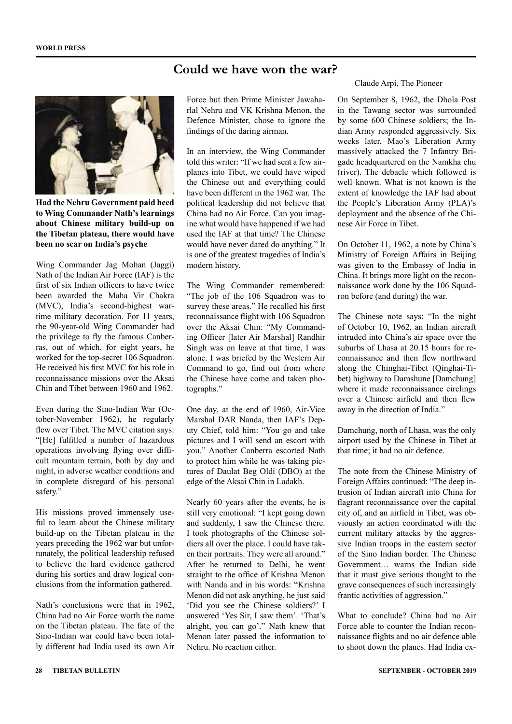### **Could we have won the war?**



**Had the Nehru Government paid heed to Wing Commander Nath's learnings about Chinese military build-up on the Tibetan plateau, there would have been no scar on India's psyche**

Wing Commander Jag Mohan (Jaggi) Nath of the Indian Air Force (IAF) is the first of six Indian officers to have twice been awarded the Maha Vir Chakra (MVC), India's second-highest wartime military decoration. For 11 years, the 90-year-old Wing Commander had the privilege to fly the famous Canberras, out of which, for eight years, he worked for the top-secret 106 Squadron. He received his first MVC for his role in reconnaissance missions over the Aksai Chin and Tibet between 1960 and 1962.

Even during the Sino-Indian War (October-November 1962), he regularly flew over Tibet. The MVC citation says: "[He] fulfilled a number of hazardous operations involving flying over difficult mountain terrain, both by day and night, in adverse weather conditions and in complete disregard of his personal safety."

His missions proved immensely useful to learn about the Chinese military build-up on the Tibetan plateau in the years preceding the 1962 war but unfortunately, the political leadership refused to believe the hard evidence gathered during his sorties and draw logical conclusions from the information gathered.

Nath's conclusions were that in 1962, China had no Air Force worth the name on the Tibetan plateau. The fate of the Sino-Indian war could have been totally different had India used its own Air

Force but then Prime Minister Jawaharlal Nehru and VK Krishna Menon, the Defence Minister, chose to ignore the findings of the daring airman.

In an interview, the Wing Commander told this writer: "If we had sent a few airplanes into Tibet, we could have wiped the Chinese out and everything could have been different in the 1962 war. The political leadership did not believe that China had no Air Force. Can you imagine what would have happened if we had used the IAF at that time? The Chinese would have never dared do anything." It is one of the greatest tragedies of India's modern history.

The Wing Commander remembered: "The job of the 106 Squadron was to survey these areas." He recalled his first reconnaissance flight with 106 Squadron over the Aksai Chin: "My Commanding Officer [later Air Marshal] Randhir Singh was on leave at that time, I was alone. I was briefed by the Western Air Command to go, find out from where the Chinese have come and taken photographs."

One day, at the end of 1960, Air-Vice Marshal DAR Nanda, then IAF's Deputy Chief, told him: "You go and take pictures and I will send an escort with you." Another Canberra escorted Nath to protect him while he was taking pictures of Daulat Beg Oldi (DBO) at the edge of the Aksai Chin in Ladakh.

Nearly 60 years after the events, he is still very emotional: "I kept going down and suddenly, I saw the Chinese there. I took photographs of the Chinese soldiers all over the place. I could have taken their portraits. They were all around." After he returned to Delhi, he went straight to the office of Krishna Menon with Nanda and in his words: "Krishna Menon did not ask anything, he just said 'Did you see the Chinese soldiers?' I answered 'Yes Sir, I saw them'. 'That's alright, you can go'." Nath knew that Menon later passed the information to Nehru. No reaction either.

#### Claude Arpi, The Pioneer

On September 8, 1962, the Dhola Post in the Tawang sector was surrounded by some 600 Chinese soldiers; the Indian Army responded aggressively. Six weeks later, Mao's Liberation Army massively attacked the 7 Infantry Brigade headquartered on the Namkha chu (river). The debacle which followed is well known. What is not known is the extent of knowledge the IAF had about the People's Liberation Army (PLA)'s deployment and the absence of the Chinese Air Force in Tibet.

On October 11, 1962, a note by China's Ministry of Foreign Affairs in Beijing was given to the Embassy of India in China. It brings more light on the reconnaissance work done by the 106 Squadron before (and during) the war.

The Chinese note says: "In the night of October 10, 1962, an Indian aircraft intruded into China's air space over the suburbs of Lhasa at 20.15 hours for reconnaissance and then flew northward along the Chinghai-Tibet (Qinghai-Tibet) highway to Damshune [Damchung] where it made reconnaissance circlings over a Chinese airfield and then flew away in the direction of India."

Damchung, north of Lhasa, was the only airport used by the Chinese in Tibet at that time; it had no air defence.

The note from the Chinese Ministry of Foreign Affairs continued: "The deep intrusion of Indian aircraft into China for flagrant reconnaissance over the capital city of, and an airfield in Tibet, was obviously an action coordinated with the current military attacks by the aggressive Indian troops in the eastern sector of the Sino Indian border. The Chinese Government… warns the Indian side that it must give serious thought to the grave consequences of such increasingly frantic activities of aggression."

What to conclude? China had no Air Force able to counter the Indian reconnaissance flights and no air defence able to shoot down the planes. Had India ex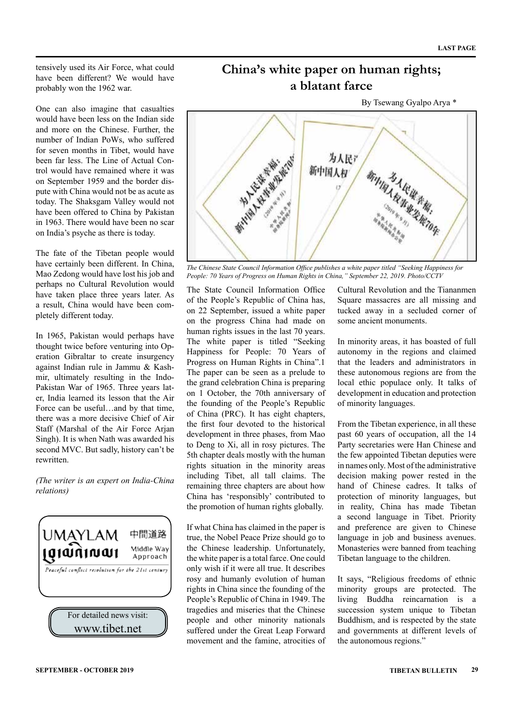tensively used its Air Force, what could have been different? We would have probably won the 1962 war.

One can also imagine that casualties would have been less on the Indian side and more on the Chinese. Further, the number of Indian PoWs, who suffered for seven months in Tibet, would have been far less. The Line of Actual Control would have remained where it was on September 1959 and the border dispute with China would not be as acute as today. The Shaksgam Valley would not have been offered to China by Pakistan in 1963. There would have been no scar on India's psyche as there is today.

The fate of the Tibetan people would have certainly been different. In China, Mao Zedong would have lost his job and perhaps no Cultural Revolution would have taken place three years later. As a result, China would have been completely different today.

In 1965, Pakistan would perhaps have thought twice before venturing into Operation Gibraltar to create insurgency against Indian rule in Jammu & Kashmir, ultimately resulting in the Indo-Pakistan War of 1965. Three years later, India learned its lesson that the Air Force can be useful...and by that time, there was a more decisive Chief of Air Staff (Marshal of the Air Force Arjan Singh). It is when Nath was awarded his second MVC. But sadly, history can't be rewritten.

*(The writer is an expert on India-China relations)*





**China's white paper on human rights; a blatant farce**

*The Chinese State Council Information Office publishes a white paper titled "Seeking Happiness for People: 70 Years of Progress on Human Rights in China," September 22, 2019. Photo/CCTV*

The State Council Information Office of the People's Republic of China has, on 22 September, issued a white paper on the progress China had made on human rights issues in the last 70 years. The white paper is titled "Seeking Happiness for People: 70 Years of Progress on Human Rights in China".1 The paper can be seen as a prelude to the grand celebration China is preparing on 1 October, the 70th anniversary of the founding of the People's Republic of China (PRC). It has eight chapters, the first four devoted to the historical development in three phases, from Mao to Deng to Xi, all in rosy pictures. The 5th chapter deals mostly with the human rights situation in the minority areas including Tibet, all tall claims. The remaining three chapters are about how China has 'responsibly' contributed to the promotion of human rights globally.

If what China has claimed in the paper is true, the Nobel Peace Prize should go to the Chinese leadership. Unfortunately, the white paper is a total farce. One could only wish if it were all true. It describes rosy and humanly evolution of human rights in China since the founding of the People's Republic of China in 1949. The tragedies and miseries that the Chinese people and other minority nationals suffered under the Great Leap Forward movement and the famine, atrocities of Cultural Revolution and the Tiananmen Square massacres are all missing and tucked away in a secluded corner of some ancient monuments.

In minority areas, it has boasted of full autonomy in the regions and claimed that the leaders and administrators in these autonomous regions are from the local ethic populace only. It talks of development in education and protection of minority languages.

From the Tibetan experience, in all these past 60 years of occupation, all the 14 Party secretaries were Han Chinese and the few appointed Tibetan deputies were in names only. Most of the administrative decision making power rested in the hand of Chinese cadres. It talks of protection of minority languages, but in reality, China has made Tibetan a second language in Tibet. Priority and preference are given to Chinese language in job and business avenues. Monasteries were banned from teaching Tibetan language to the children.

It says, "Religious freedoms of ethnic minority groups are protected. The living Buddha reincarnation is a succession system unique to Tibetan Buddhism, and is respected by the state and governments at different levels of the autonomous regions."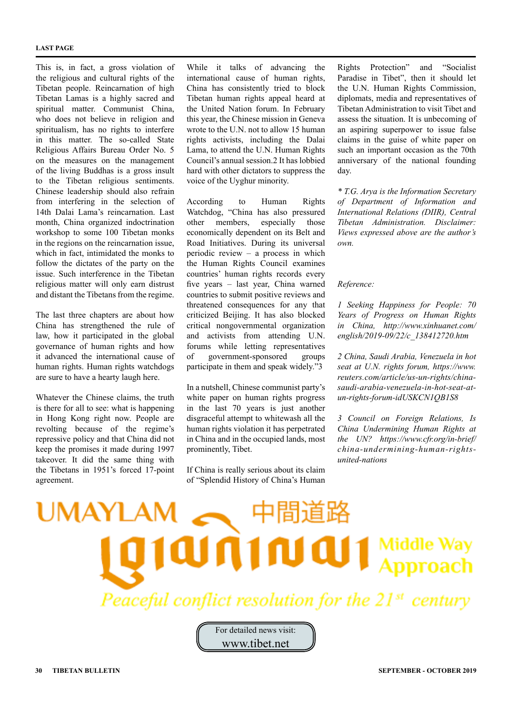#### **LAST PAGE**

This is, in fact, a gross violation of the religious and cultural rights of the Tibetan people. Reincarnation of high Tibetan Lamas is a highly sacred and spiritual matter. Communist China, who does not believe in religion and spiritualism, has no rights to interfere in this matter. The so-called State Religious Affairs Bureau Order No. 5 on the measures on the management of the living Buddhas is a gross insult to the Tibetan religious sentiments. Chinese leadership should also refrain from interfering in the selection of 14th Dalai Lama's reincarnation. Last month, China organized indoctrination workshop to some 100 Tibetan monks in the regions on the reincarnation issue, which in fact, intimidated the monks to follow the dictates of the party on the issue. Such interference in the Tibetan religious matter will only earn distrust and distant the Tibetans from the regime.

The last three chapters are about how China has strengthened the rule of law, how it participated in the global governance of human rights and how it advanced the international cause of human rights. Human rights watchdogs are sure to have a hearty laugh here.

Whatever the Chinese claims, the truth is there for all to see: what is happening in Hong Kong right now. People are revolting because of the regime's repressive policy and that China did not keep the promises it made during 1997 takeover. It did the same thing with the Tibetans in 1951's forced 17-point agreement.

While it talks of advancing the international cause of human rights, China has consistently tried to block Tibetan human rights appeal heard at the United Nation forum. In February this year, the Chinese mission in Geneva wrote to the U.N. not to allow 15 human rights activists, including the Dalai Lama, to attend the U.N. Human Rights Council's annual session.2 It has lobbied hard with other dictators to suppress the voice of the Uyghur minority.

According to Human Rights Watchdog, "China has also pressured other members, especially those economically dependent on its Belt and Road Initiatives. During its universal periodic review – a process in which the Human Rights Council examines countries' human rights records every five years – last year, China warned countries to submit positive reviews and threatened consequences for any that criticized Beijing. It has also blocked critical nongovernmental organization and activists from attending U.N. forums while letting representatives of government-sponsored groups participate in them and speak widely."3

In a nutshell, Chinese communist party's white paper on human rights progress in the last 70 years is just another disgraceful attempt to whitewash all the human rights violation it has perpetrated in China and in the occupied lands, most prominently, Tibet.

If China is really serious about its claim of "Splendid History of China's Human

Rights Protection" and "Socialist Paradise in Tibet", then it should let the U.N. Human Rights Commission, diplomats, media and representatives of Tibetan Administration to visit Tibet and assess the situation. It is unbecoming of an aspiring superpower to issue false claims in the guise of white paper on such an important occasion as the 70th anniversary of the national founding day.

*\* T.G. Arya is the Information Secretary of Department of Information and International Relations (DIIR), Central Tibetan Administration. Disclaimer: Views expressed above are the author's own.*

#### *Reference:*

*1 Seeking Happiness for People: 70 Years of Progress on Human Rights in China, http://www.xinhuanet.com/ english/2019-09/22/c\_138412720.htm*

*2 China, Saudi Arabia, Venezuela in hot seat at U.N. rights forum, https://www. reuters.com/article/us-un-rights/chinasaudi-arabia-venezuela-in-hot-seat-atun-rights-forum-idUSKCN1QB1S8*

*3 Council on Foreign Relations, Is China Undermining Human Rights at the UN? https://www.cfr.org/in-brief/ china-undermining-human-rightsunited-nations*

# JMAY  $101$  Middle Way Peaceful conflict resolution for the 21st

For detailed news visit: www.tibet.net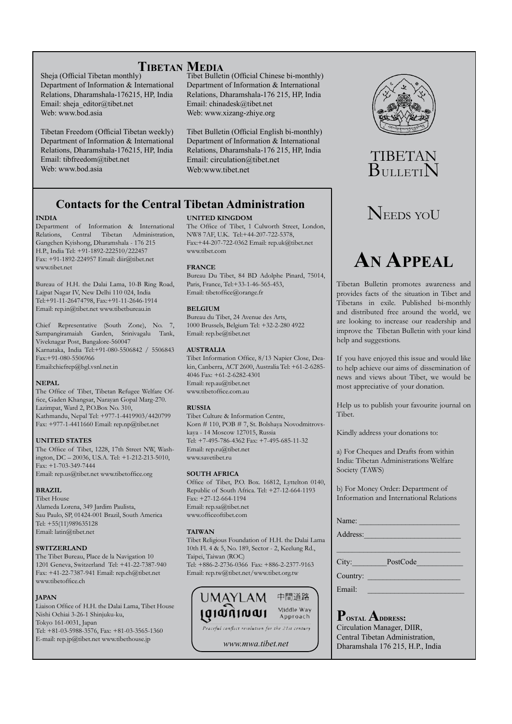### **Tibetan Media**

Sheja (Official Tibetan monthly) Department of Information & International Relations, Dharamshala-176215, HP, India Email: sheja\_editor@tibet.net Web: www.bod.asia

Tibetan Freedom (Official Tibetan weekly) Department of Information & International Relations, Dharamshala-176215, HP, India Email: tibfreedom@tibet.net Web: www.bod.asia

Tibet Bulletin (Official Chinese bi-monthly) Department of Information & International Relations, Dharamshala-176 215, HP, India Email: chinadesk@tibet.net Web: www.xizang-zhiye.org

Tibet Bulletin (Official English bi-monthly) Department of Information & International Relations, Dharamshala-176 215, HP, India Email: circulation@tibet.net Web:www.tibet.net

### **Contacts for the Central Tibetan Administration**

#### **INDIA**

Department of Information & International Relations, Central Tibetan Administration, Gangchen Kyishong, Dharamshala - 176 215 H.P., India Tel: +91-1892-222510/222457 Fax: +91-1892-224957 Email: diir@tibet.net www.tibet.net

Bureau of H.H. the Dalai Lama, 10-B Ring Road, Lajpat Nagar IV, New Delhi 110 024, India Tel:+91-11-26474798, Fax:+91-11-2646-1914 Email: rep.in@tibet.net www.tibetbureau.in

Chief Representative (South Zone), No. 7, Sampangiramaiah Garden, Srinivagalu Tank, Viveknagar Post, Bangalore-560047 Karnataka, India Tel:+91-080-5506842 / 5506843 Fax:+91-080-5506966 Email:chiefrep@bgl.vsnl.net.in

#### **NEPAL**

The Office of Tibet, Tibetan Refugee Welfare Office, Gaden Khangsar, Narayan Gopal Marg-270. Lazimpat, Ward 2, P.O.Box No. 310, Kathmandu, Nepal Tel: +977-1-4419903/4420799 Fax: +977-1-4411660 Email: rep.np@tibet.net

#### **UNITED STATES**

The Office of Tibet, 1228, 17th Street NW, Washington, DC – 20036, U.S.A. Tel: +1-212-213-5010, Fax: +1-703-349-7444 Email: rep.us@tibet.net www.tibetoffice.org

#### **BRAZIL**

Tibet House Alameda Lorena, 349 Jardim Paulista, Sau Paulo, SP, 01424-001 Brazil, South America Tel: +55(11)989635128 Email: latin@tibet.net

#### **SWITZERLAND**

The Tibet Bureau, Place de la Navigation 10 1201 Geneva, Switzerland Tel: +41-22-7387-940 Fax: +41-22-7387-941 Email: rep.ch@tibet.net www.tibetoffice.ch

#### **JAPAN**

Liaison Office of H.H. the Dalai Lama, Tibet House Nishi Ochiai 3-26-1 Shinjuku-ku, Tokyo 161-0031, Japan Tel: +81-03-5988-3576, Fax: +81-03-3565-1360 E-mail: rep.jp@tibet.net www.tibethouse.jp

#### **UNITED KINGDOM**

The Office of Tibet, 1 Culworth Street, London, NW8 7AF, U.K. Tel:+44-207-722-5378, Fax:+44-207-722-0362 Email: rep.uk@tibet.net www.tibet.com

#### **FRANCE**

Bureau Du Tibet, 84 BD Adolphe Pinard, 75014, Paris, France, Tel:+33-1-46-565-453, Email: tibetoffice@orange.fr

#### **BELGIUM**

Bureau du Tibet, 24 Avenue des Arts, 1000 Brussels, Belgium Tel: +32-2-280 4922 Email: rep.be@tibet.net

#### **AUSTRALIA**

Tibet Information Office, 8/13 Napier Close, Deakin, Canberra, ACT 2600, Australia Tel: +61-2-6285- 4046 Fax: +61-2-6282-4301 Email: rep.au@tibet.net www.tibetoffice.com.au

#### **RUSSIA**

Tibet Culture & Information Centre, Korn # 110, POB # 7, St. Bolshaya Novodmitrovskaya - 14 Moscow 127015, Russia Tel: +7-495-786-4362 Fax: +7-495-685-11-32 Email: rep.ru@tibet.net www.savetibet.ru

#### **SOUTH AFRICA**

Office of Tibet, P.O. Box. 16812, Lyttelton 0140, Republic of South Africa. Tel: +27-12-664-1193 Fax: +27-12-664-1194 Email: rep.sa@tibet.net www.officeoftibet.com

#### **TAIWAN**

Tibet Religious Foundation of H.H. the Dalai Lama 10th Fl. 4 & 5, No. 189, Sector - 2, Keelung Rd., Taipei, Taiwan (ROC) Tel: +886-2-2736-0366 Fax: +886-2-2377-9163 Email: rep.tw@tibet.net/www.tibet.org.tw



*www.mwa.tibet.net*



### TIBETAN **BULLETIN**

### NEEDS YOU

## **An Appeal**

Tibetan Bulletin promotes awareness and provides facts of the situation in Tibet and Tibetans in exile. Published bi-monthly and distributed free around the world, we are looking to increase our readership and improve the Tibetan Bulletin with your kind help and suggestions.

If you have enjoyed this issue and would like to help achieve our aims of dissemination of news and views about Tibet, we would be most appreciative of your donation.

Help us to publish your favourite journal on Tibet.

Kindly address your donations to:

a) For Cheques and Drafts from within India: Tibetan Administrations Welfare Society (TAWS)

b) For Money Order: Department of Information and International Relations

\_\_\_\_\_\_\_\_\_\_\_\_\_\_\_\_\_\_\_\_\_\_\_\_\_\_\_\_\_\_\_\_

Name:

Address:

City: PostCode

Country:

Email:

P<sub>OSTAL</sub> ADDRESS: Circulation Manager, DIIR, Central Tibetan Administration, Dharamshala 176 215, H.P., India